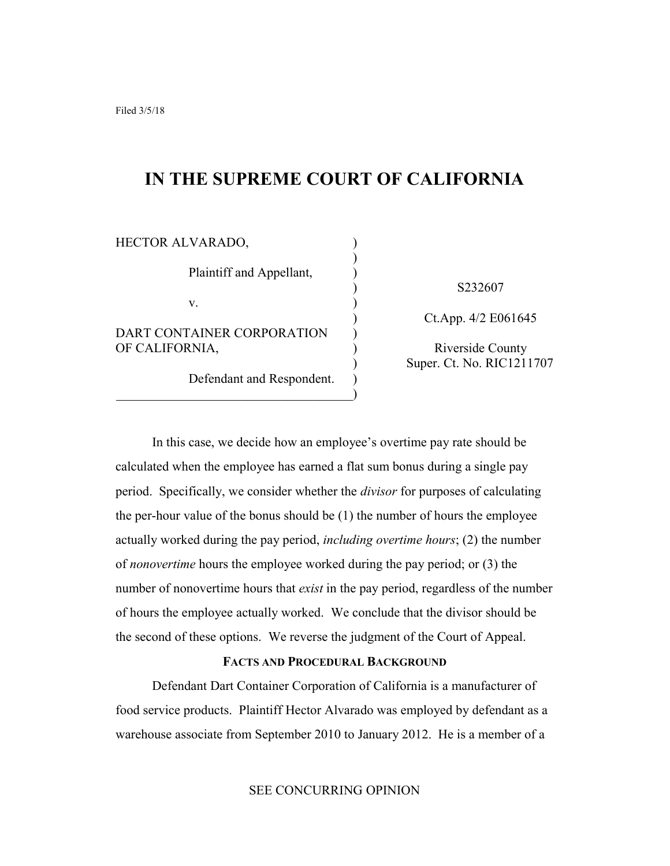# **IN THE SUPREME COURT OF CALIFORNIA**

| HECTOR ALVARADO,                             |  |
|----------------------------------------------|--|
| Plaintiff and Appellant,                     |  |
| V.                                           |  |
| DART CONTAINER CORPORATION<br>OF CALIFORNIA, |  |
| Defendant and Respondent.                    |  |

) S232607

) Ct.App. 4/2 E061645

) Riverside County ) Super. Ct. No. RIC1211707

In this case, we decide how an employee's overtime pay rate should be calculated when the employee has earned a flat sum bonus during a single pay period. Specifically, we consider whether the *divisor* for purposes of calculating the per-hour value of the bonus should be (1) the number of hours the employee actually worked during the pay period, *including overtime hours*; (2) the number of *nonovertime* hours the employee worked during the pay period; or (3) the number of nonovertime hours that *exist* in the pay period, regardless of the number of hours the employee actually worked. We conclude that the divisor should be the second of these options. We reverse the judgment of the Court of Appeal.

## **FACTS AND PROCEDURAL BACKGROUND**

Defendant Dart Container Corporation of California is a manufacturer of food service products. Plaintiff Hector Alvarado was employed by defendant as a warehouse associate from September 2010 to January 2012. He is a member of a

SEE CONCURRING OPINION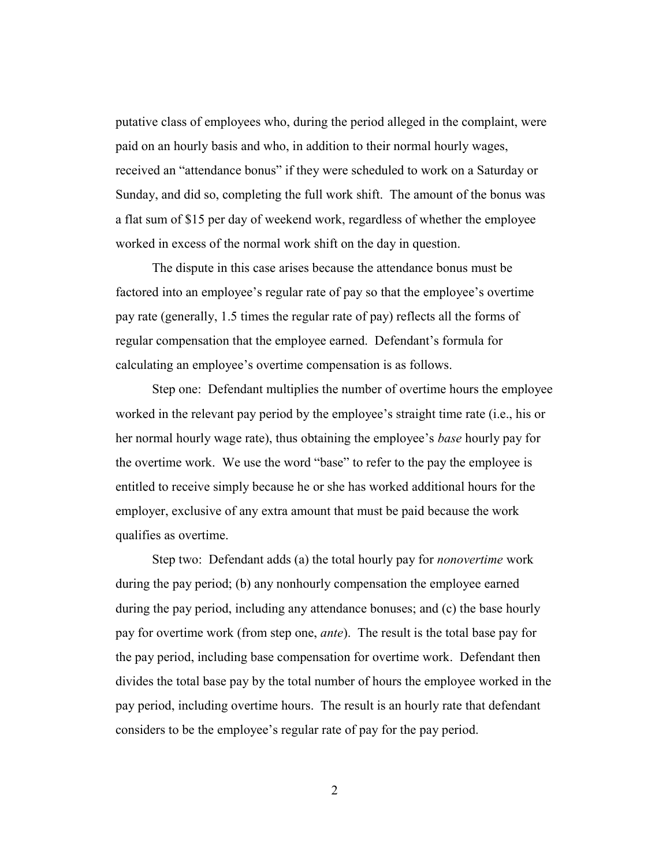putative class of employees who, during the period alleged in the complaint, were paid on an hourly basis and who, in addition to their normal hourly wages, received an "attendance bonus" if they were scheduled to work on a Saturday or Sunday, and did so, completing the full work shift. The amount of the bonus was a flat sum of \$15 per day of weekend work, regardless of whether the employee worked in excess of the normal work shift on the day in question.

The dispute in this case arises because the attendance bonus must be factored into an employee's regular rate of pay so that the employee's overtime pay rate (generally, 1.5 times the regular rate of pay) reflects all the forms of regular compensation that the employee earned. Defendant's formula for calculating an employee's overtime compensation is as follows.

Step one: Defendant multiplies the number of overtime hours the employee worked in the relevant pay period by the employee's straight time rate (i.e., his or her normal hourly wage rate), thus obtaining the employee's *base* hourly pay for the overtime work. We use the word "base" to refer to the pay the employee is entitled to receive simply because he or she has worked additional hours for the employer, exclusive of any extra amount that must be paid because the work qualifies as overtime.

Step two: Defendant adds (a) the total hourly pay for *nonovertime* work during the pay period; (b) any nonhourly compensation the employee earned during the pay period, including any attendance bonuses; and (c) the base hourly pay for overtime work (from step one, *ante*). The result is the total base pay for the pay period, including base compensation for overtime work. Defendant then divides the total base pay by the total number of hours the employee worked in the pay period, including overtime hours. The result is an hourly rate that defendant considers to be the employee's regular rate of pay for the pay period.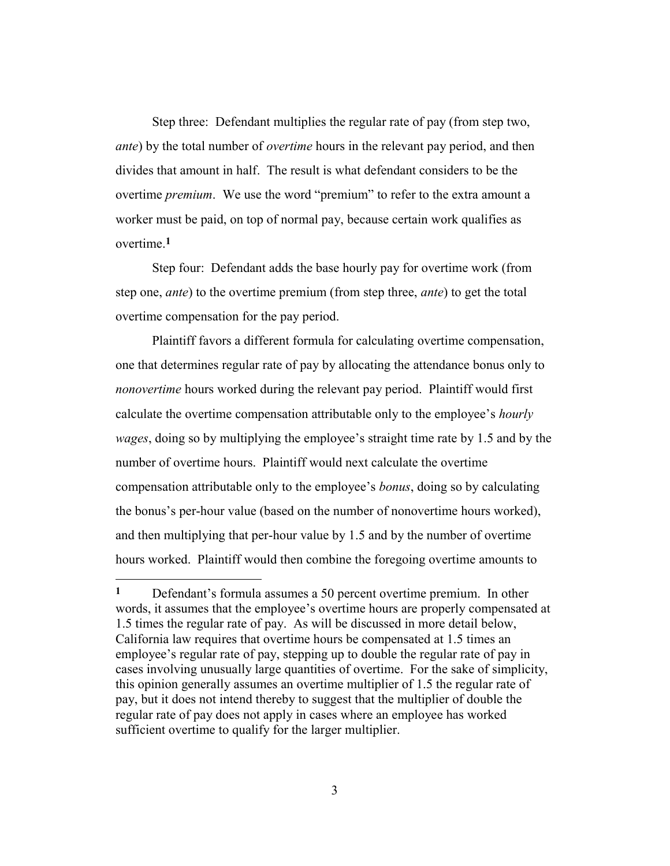Step three: Defendant multiplies the regular rate of pay (from step two, *ante*) by the total number of *overtime* hours in the relevant pay period, and then divides that amount in half. The result is what defendant considers to be the overtime *premium*. We use the word "premium" to refer to the extra amount a worker must be paid, on top of normal pay, because certain work qualifies as overtime.**1**

Step four: Defendant adds the base hourly pay for overtime work (from step one, *ante*) to the overtime premium (from step three, *ante*) to get the total overtime compensation for the pay period.

Plaintiff favors a different formula for calculating overtime compensation, one that determines regular rate of pay by allocating the attendance bonus only to *nonovertime* hours worked during the relevant pay period. Plaintiff would first calculate the overtime compensation attributable only to the employee's *hourly wages*, doing so by multiplying the employee's straight time rate by 1.5 and by the number of overtime hours. Plaintiff would next calculate the overtime compensation attributable only to the employee's *bonus*, doing so by calculating the bonus's per-hour value (based on the number of nonovertime hours worked), and then multiplying that per-hour value by 1.5 and by the number of overtime hours worked. Plaintiff would then combine the foregoing overtime amounts to

**<sup>1</sup>** Defendant's formula assumes a 50 percent overtime premium. In other words, it assumes that the employee's overtime hours are properly compensated at 1.5 times the regular rate of pay. As will be discussed in more detail below, California law requires that overtime hours be compensated at 1.5 times an employee's regular rate of pay, stepping up to double the regular rate of pay in cases involving unusually large quantities of overtime. For the sake of simplicity, this opinion generally assumes an overtime multiplier of 1.5 the regular rate of pay, but it does not intend thereby to suggest that the multiplier of double the regular rate of pay does not apply in cases where an employee has worked sufficient overtime to qualify for the larger multiplier.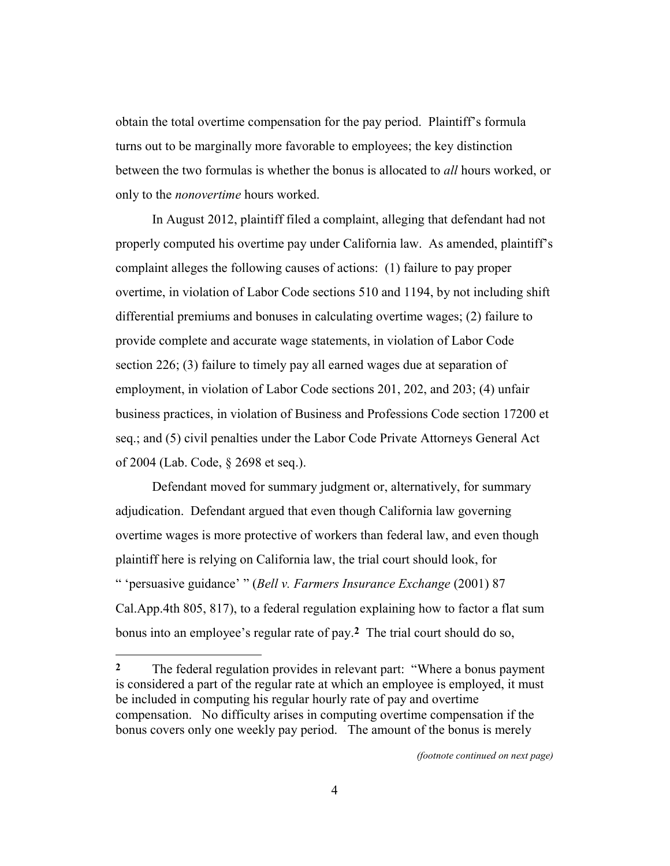obtain the total overtime compensation for the pay period. Plaintiff's formula turns out to be marginally more favorable to employees; the key distinction between the two formulas is whether the bonus is allocated to *all* hours worked, or only to the *nonovertime* hours worked.

In August 2012, plaintiff filed a complaint, alleging that defendant had not properly computed his overtime pay under California law. As amended, plaintiff's complaint alleges the following causes of actions: (1) failure to pay proper overtime, in violation of Labor Code sections 510 and 1194, by not including shift differential premiums and bonuses in calculating overtime wages; (2) failure to provide complete and accurate wage statements, in violation of Labor Code section 226; (3) failure to timely pay all earned wages due at separation of employment, in violation of Labor Code sections 201, 202, and 203; (4) unfair business practices, in violation of Business and Professions Code section 17200 et seq.; and (5) civil penalties under the Labor Code Private Attorneys General Act of 2004 (Lab. Code, § 2698 et seq.).

Defendant moved for summary judgment or, alternatively, for summary adjudication. Defendant argued that even though California law governing overtime wages is more protective of workers than federal law, and even though plaintiff here is relying on California law, the trial court should look, for " 'persuasive guidance' " (*Bell v. Farmers Insurance Exchange* (2001) 87 Cal.App.4th 805, 817), to a federal regulation explaining how to factor a flat sum bonus into an employee's regular rate of pay.**2** The trial court should do so,

<u>.</u>

*(footnote continued on next page)*

**<sup>2</sup>** The federal regulation provides in relevant part: "Where a bonus payment is considered a part of the regular rate at which an employee is employed, it must be included in computing his regular hourly rate of pay and overtime compensation. No difficulty arises in computing overtime compensation if the bonus covers only one weekly pay period. The amount of the bonus is merely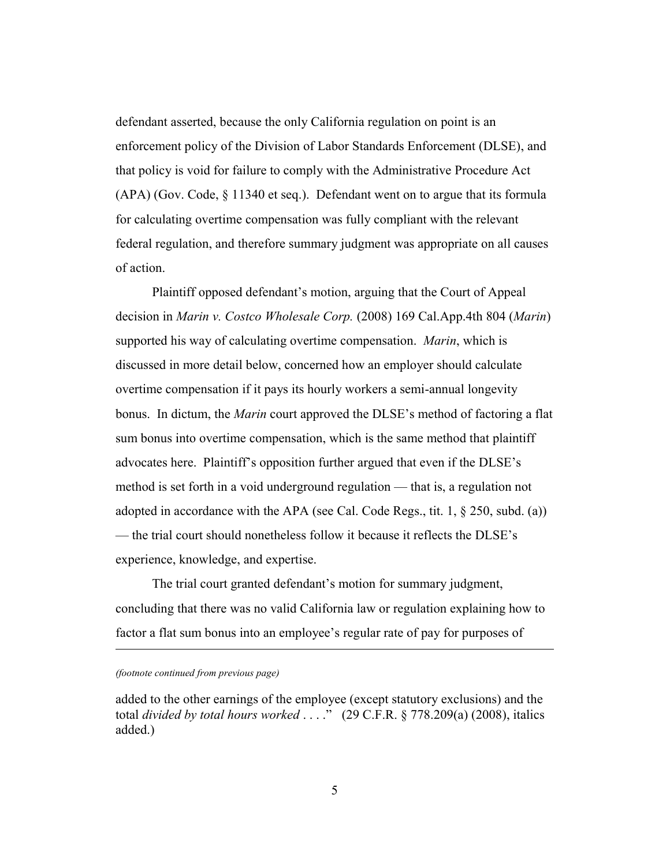defendant asserted, because the only California regulation on point is an enforcement policy of the Division of Labor Standards Enforcement (DLSE), and that policy is void for failure to comply with the Administrative Procedure Act (APA) (Gov. Code, § 11340 et seq.). Defendant went on to argue that its formula for calculating overtime compensation was fully compliant with the relevant federal regulation, and therefore summary judgment was appropriate on all causes of action.

Plaintiff opposed defendant's motion, arguing that the Court of Appeal decision in *Marin v. Costco Wholesale Corp.* (2008) 169 Cal.App.4th 804 (*Marin*) supported his way of calculating overtime compensation. *Marin*, which is discussed in more detail below, concerned how an employer should calculate overtime compensation if it pays its hourly workers a semi-annual longevity bonus. In dictum, the *Marin* court approved the DLSE's method of factoring a flat sum bonus into overtime compensation, which is the same method that plaintiff advocates here. Plaintiff's opposition further argued that even if the DLSE's method is set forth in a void underground regulation — that is, a regulation not adopted in accordance with the APA (see Cal. Code Regs., tit. 1, § 250, subd. (a)) — the trial court should nonetheless follow it because it reflects the DLSE's experience, knowledge, and expertise.

The trial court granted defendant's motion for summary judgment, concluding that there was no valid California law or regulation explaining how to factor a flat sum bonus into an employee's regular rate of pay for purposes of

*(footnote continued from previous page)*

-

added to the other earnings of the employee (except statutory exclusions) and the total *divided by total hours worked* . . . ." (29 C.F.R. § 778.209(a) (2008), italics added.)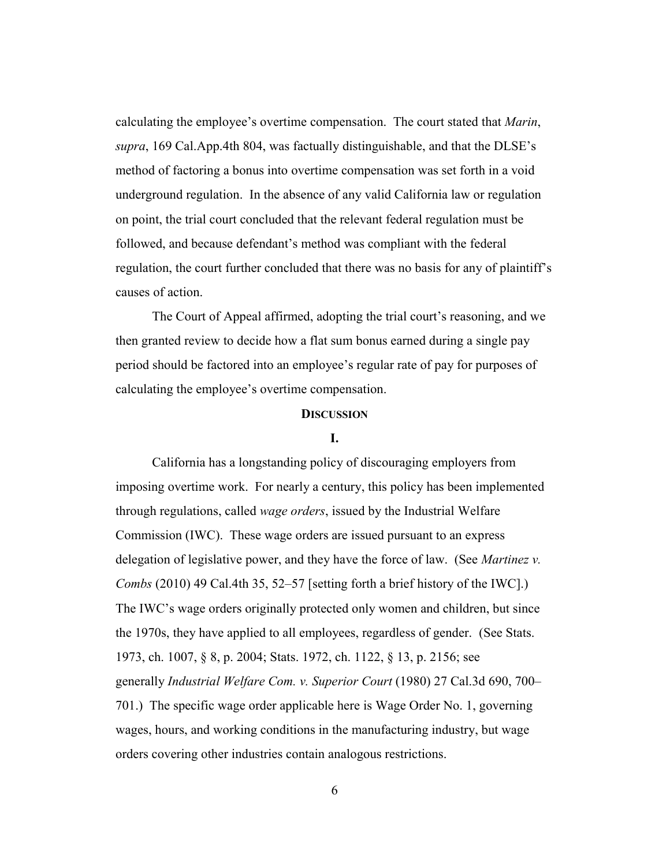calculating the employee's overtime compensation. The court stated that *Marin*, *supra*, 169 Cal.App.4th 804, was factually distinguishable, and that the DLSE's method of factoring a bonus into overtime compensation was set forth in a void underground regulation. In the absence of any valid California law or regulation on point, the trial court concluded that the relevant federal regulation must be followed, and because defendant's method was compliant with the federal regulation, the court further concluded that there was no basis for any of plaintiff's causes of action.

The Court of Appeal affirmed, adopting the trial court's reasoning, and we then granted review to decide how a flat sum bonus earned during a single pay period should be factored into an employee's regular rate of pay for purposes of calculating the employee's overtime compensation.

# **DISCUSSION**

## **I.**

California has a longstanding policy of discouraging employers from imposing overtime work. For nearly a century, this policy has been implemented through regulations, called *wage orders*, issued by the Industrial Welfare Commission (IWC). These wage orders are issued pursuant to an express delegation of legislative power, and they have the force of law. (See *Martinez v. Combs* (2010) 49 Cal.4th 35, 52–57 [setting forth a brief history of the IWC].) The IWC's wage orders originally protected only women and children, but since the 1970s, they have applied to all employees, regardless of gender. (See Stats. 1973, ch. 1007, § 8, p. 2004; Stats. 1972, ch. 1122, § 13, p. 2156; see generally *Industrial Welfare Com. v. Superior Court* (1980) 27 Cal.3d 690, 700– 701.) The specific wage order applicable here is Wage Order No. 1, governing wages, hours, and working conditions in the manufacturing industry, but wage orders covering other industries contain analogous restrictions.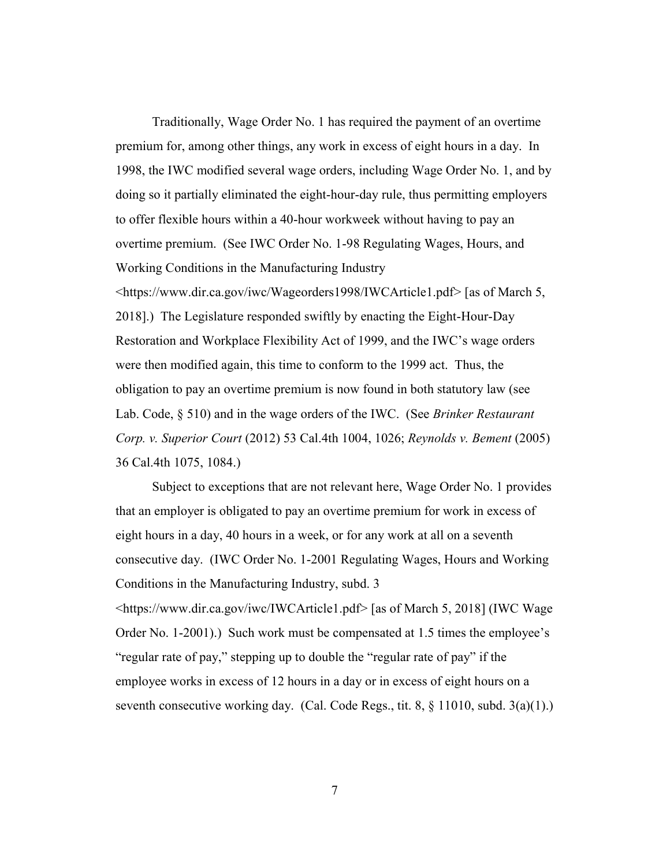Traditionally, Wage Order No. 1 has required the payment of an overtime premium for, among other things, any work in excess of eight hours in a day. In 1998, the IWC modified several wage orders, including Wage Order No. 1, and by doing so it partially eliminated the eight-hour-day rule, thus permitting employers to offer flexible hours within a 40-hour workweek without having to pay an overtime premium. (See IWC Order No. 1-98 Regulating Wages, Hours, and Working Conditions in the Manufacturing Industry <https://www.dir.ca.gov/iwc/Wageorders1998/IWCArticle1.pdf> [as of March 5, 2018].) The Legislature responded swiftly by enacting the Eight-Hour-Day Restoration and Workplace Flexibility Act of 1999, and the IWC's wage orders were then modified again, this time to conform to the 1999 act. Thus, the obligation to pay an overtime premium is now found in both statutory law (see

Lab. Code, § 510) and in the wage orders of the IWC. (See *Brinker Restaurant Corp. v. Superior Court* (2012) 53 Cal.4th 1004, 1026; *Reynolds v. Bement* (2005) 36 Cal.4th 1075, 1084.)

Subject to exceptions that are not relevant here, Wage Order No. 1 provides that an employer is obligated to pay an overtime premium for work in excess of eight hours in a day, 40 hours in a week, or for any work at all on a seventh consecutive day. (IWC Order No. 1-2001 Regulating Wages, Hours and Working Conditions in the Manufacturing Industry, subd. 3 <https://www.dir.ca.gov/iwc/IWCArticle1.pdf> [as of March 5, 2018] (IWC Wage Order No. 1-2001).) Such work must be compensated at 1.5 times the employee's "regular rate of pay," stepping up to double the "regular rate of pay" if the employee works in excess of 12 hours in a day or in excess of eight hours on a seventh consecutive working day. (Cal. Code Regs., tit. 8,  $\S$  11010, subd. 3(a)(1).)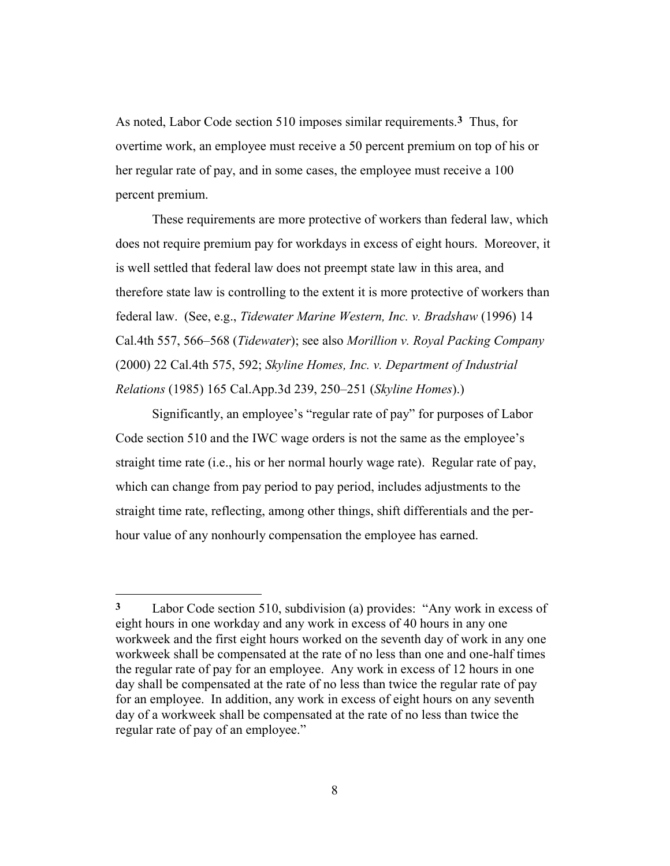As noted, Labor Code section 510 imposes similar requirements.**3** Thus, for overtime work, an employee must receive a 50 percent premium on top of his or her regular rate of pay, and in some cases, the employee must receive a 100 percent premium.

These requirements are more protective of workers than federal law, which does not require premium pay for workdays in excess of eight hours. Moreover, it is well settled that federal law does not preempt state law in this area, and therefore state law is controlling to the extent it is more protective of workers than federal law. (See, e.g., *Tidewater Marine Western, Inc. v. Bradshaw* (1996) 14 Cal.4th 557, 566–568 (*Tidewater*); see also *Morillion v. Royal Packing Company* (2000) 22 Cal.4th 575, 592; *Skyline Homes, Inc. v. Department of Industrial Relations* (1985) 165 Cal.App.3d 239, 250–251 (*Skyline Homes*).)

Significantly, an employee's "regular rate of pay" for purposes of Labor Code section 510 and the IWC wage orders is not the same as the employee's straight time rate (i.e., his or her normal hourly wage rate). Regular rate of pay, which can change from pay period to pay period, includes adjustments to the straight time rate, reflecting, among other things, shift differentials and the perhour value of any nonhourly compensation the employee has earned.

<u>.</u>

**<sup>3</sup>** Labor Code section 510, subdivision (a) provides: "Any work in excess of eight hours in one workday and any work in excess of 40 hours in any one workweek and the first eight hours worked on the seventh day of work in any one workweek shall be compensated at the rate of no less than one and one-half times the regular rate of pay for an employee. Any work in excess of 12 hours in one day shall be compensated at the rate of no less than twice the regular rate of pay for an employee. In addition, any work in excess of eight hours on any seventh day of a workweek shall be compensated at the rate of no less than twice the regular rate of pay of an employee."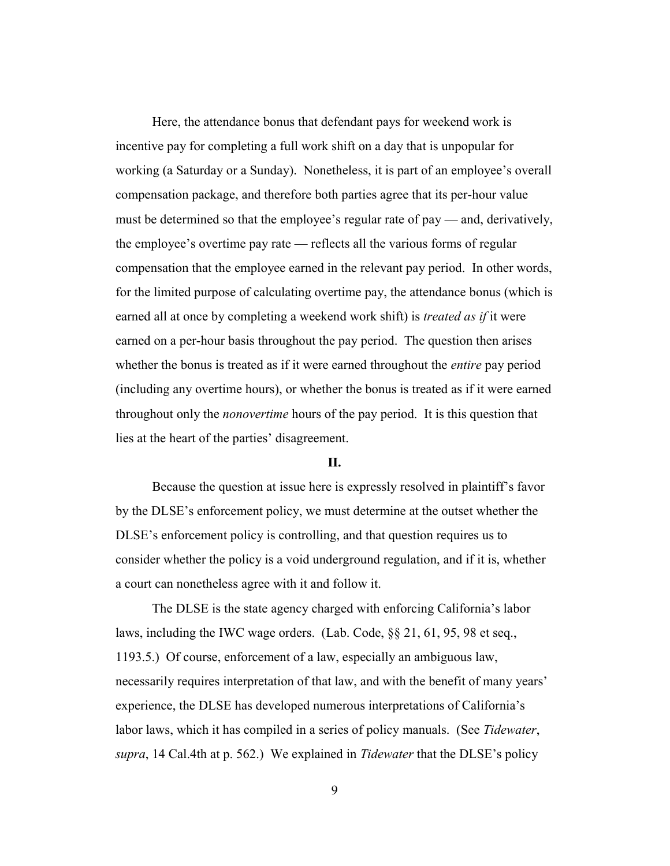Here, the attendance bonus that defendant pays for weekend work is incentive pay for completing a full work shift on a day that is unpopular for working (a Saturday or a Sunday). Nonetheless, it is part of an employee's overall compensation package, and therefore both parties agree that its per-hour value must be determined so that the employee's regular rate of pay — and, derivatively, the employee's overtime pay rate — reflects all the various forms of regular compensation that the employee earned in the relevant pay period. In other words, for the limited purpose of calculating overtime pay, the attendance bonus (which is earned all at once by completing a weekend work shift) is *treated as if* it were earned on a per-hour basis throughout the pay period. The question then arises whether the bonus is treated as if it were earned throughout the *entire* pay period (including any overtime hours), or whether the bonus is treated as if it were earned throughout only the *nonovertime* hours of the pay period. It is this question that lies at the heart of the parties' disagreement.

# **II.**

Because the question at issue here is expressly resolved in plaintiff's favor by the DLSE's enforcement policy, we must determine at the outset whether the DLSE's enforcement policy is controlling, and that question requires us to consider whether the policy is a void underground regulation, and if it is, whether a court can nonetheless agree with it and follow it.

The DLSE is the state agency charged with enforcing California's labor laws, including the IWC wage orders. (Lab. Code, §§ 21, 61, 95, 98 et seq., 1193.5.) Of course, enforcement of a law, especially an ambiguous law, necessarily requires interpretation of that law, and with the benefit of many years' experience, the DLSE has developed numerous interpretations of California's labor laws, which it has compiled in a series of policy manuals. (See *Tidewater*, *supra*, 14 Cal.4th at p. 562.) We explained in *Tidewater* that the DLSE's policy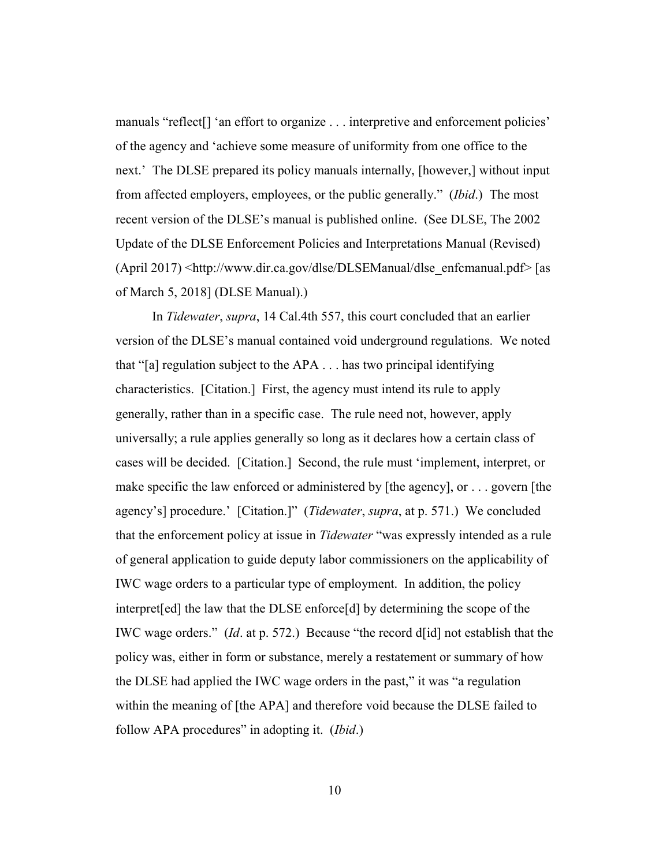manuals "reflect[] 'an effort to organize . . . interpretive and enforcement policies' of the agency and 'achieve some measure of uniformity from one office to the next.' The DLSE prepared its policy manuals internally, [however,] without input from affected employers, employees, or the public generally." (*Ibid*.) The most recent version of the DLSE's manual is published online. (See DLSE, The 2002 Update of the DLSE Enforcement Policies and Interpretations Manual (Revised)  $(Apri 2017)$  <http://www.dir.ca.gov/dlse/DLSEManual/dlse\_enfcmanual.pdf> [as of March 5, 2018] (DLSE Manual).)

In *Tidewater*, *supra*, 14 Cal.4th 557, this court concluded that an earlier version of the DLSE's manual contained void underground regulations. We noted that "[a] regulation subject to the APA . . . has two principal identifying characteristics. [Citation.] First, the agency must intend its rule to apply generally, rather than in a specific case. The rule need not, however, apply universally; a rule applies generally so long as it declares how a certain class of cases will be decided. [Citation.] Second, the rule must 'implement, interpret, or make specific the law enforced or administered by [the agency], or . . . govern [the agency's] procedure.' [Citation.]" (*Tidewater*, *supra*, at p. 571.) We concluded that the enforcement policy at issue in *Tidewater* "was expressly intended as a rule of general application to guide deputy labor commissioners on the applicability of IWC wage orders to a particular type of employment. In addition, the policy interpret[ed] the law that the DLSE enforce[d] by determining the scope of the IWC wage orders." (*Id*. at p. 572.) Because "the record d[id] not establish that the policy was, either in form or substance, merely a restatement or summary of how the DLSE had applied the IWC wage orders in the past," it was "a regulation within the meaning of [the APA] and therefore void because the DLSE failed to follow APA procedures" in adopting it. (*Ibid*.)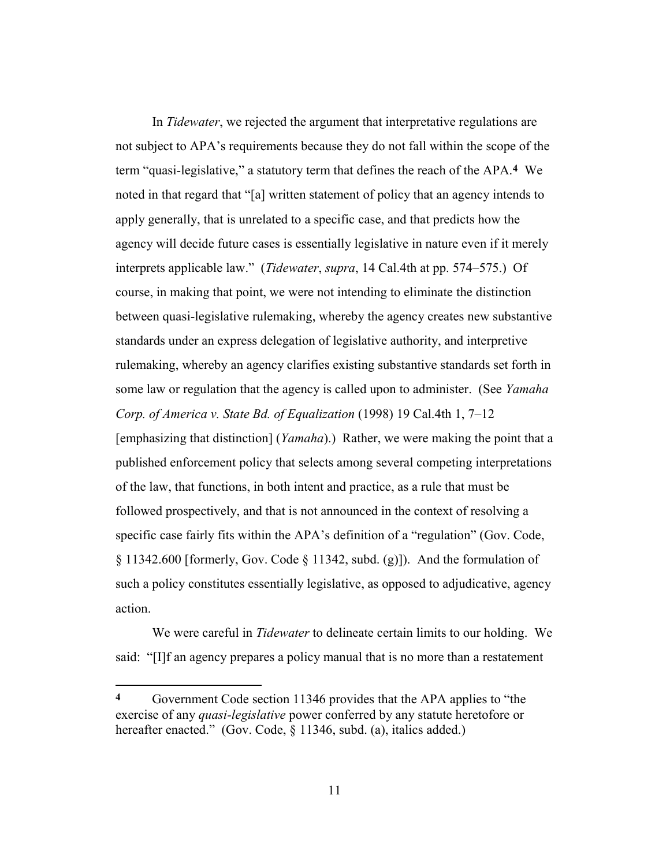In *Tidewater*, we rejected the argument that interpretative regulations are not subject to APA's requirements because they do not fall within the scope of the term "quasi-legislative," a statutory term that defines the reach of the APA.**4** We noted in that regard that "[a] written statement of policy that an agency intends to apply generally, that is unrelated to a specific case, and that predicts how the agency will decide future cases is essentially legislative in nature even if it merely interprets applicable law." (*Tidewater*, *supra*, 14 Cal.4th at pp. 574–575.) Of course, in making that point, we were not intending to eliminate the distinction between quasi-legislative rulemaking, whereby the agency creates new substantive standards under an express delegation of legislative authority, and interpretive rulemaking, whereby an agency clarifies existing substantive standards set forth in some law or regulation that the agency is called upon to administer. (See *Yamaha Corp. of America v. State Bd. of Equalization* (1998) 19 Cal.4th 1, 7–12 [emphasizing that distinction] (*Yamaha*).) Rather, we were making the point that a published enforcement policy that selects among several competing interpretations of the law, that functions, in both intent and practice, as a rule that must be followed prospectively, and that is not announced in the context of resolving a specific case fairly fits within the APA's definition of a "regulation" (Gov. Code,  $\S 11342.600$  [formerly, Gov. Code  $\S 11342$ , subd. (g)]). And the formulation of such a policy constitutes essentially legislative, as opposed to adjudicative, agency action.

We were careful in *Tidewater* to delineate certain limits to our holding. We said: "[I]f an agency prepares a policy manual that is no more than a restatement

<u>.</u>

**<sup>4</sup>** Government Code section 11346 provides that the APA applies to "the exercise of any *quasi-legislative* power conferred by any statute heretofore or hereafter enacted." (Gov. Code, § 11346, subd. (a), italics added.)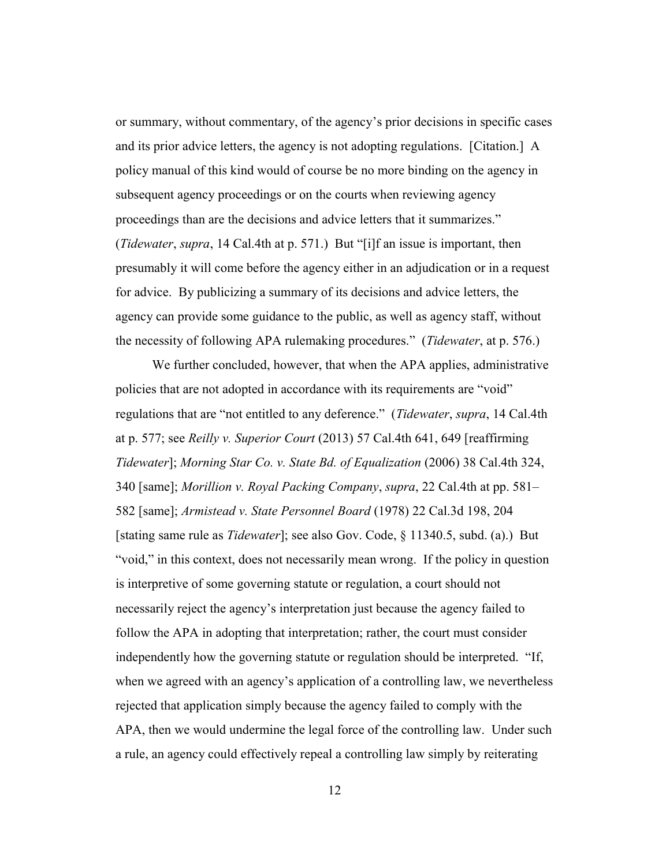or summary, without commentary, of the agency's prior decisions in specific cases and its prior advice letters, the agency is not adopting regulations. [Citation.] A policy manual of this kind would of course be no more binding on the agency in subsequent agency proceedings or on the courts when reviewing agency proceedings than are the decisions and advice letters that it summarizes." (*Tidewater*, *supra*, 14 Cal.4th at p. 571.) But "[i]f an issue is important, then presumably it will come before the agency either in an adjudication or in a request for advice. By publicizing a summary of its decisions and advice letters, the agency can provide some guidance to the public, as well as agency staff, without the necessity of following APA rulemaking procedures." (*Tidewater*, at p. 576.)

We further concluded, however, that when the APA applies, administrative policies that are not adopted in accordance with its requirements are "void" regulations that are "not entitled to any deference." (*Tidewater*, *supra*, 14 Cal.4th at p. 577; see *Reilly v. Superior Court* (2013) 57 Cal.4th 641, 649 [reaffirming *Tidewater*]; *Morning Star Co. v. State Bd. of Equalization* (2006) 38 Cal.4th 324, 340 [same]; *Morillion v. Royal Packing Company*, *supra*, 22 Cal.4th at pp. 581– 582 [same]; *Armistead v. State Personnel Board* (1978) 22 Cal.3d 198, 204 [stating same rule as *Tidewater*]; see also Gov. Code, § 11340.5, subd. (a).) But "void," in this context, does not necessarily mean wrong. If the policy in question is interpretive of some governing statute or regulation, a court should not necessarily reject the agency's interpretation just because the agency failed to follow the APA in adopting that interpretation; rather, the court must consider independently how the governing statute or regulation should be interpreted. "If, when we agreed with an agency's application of a controlling law, we nevertheless rejected that application simply because the agency failed to comply with the APA, then we would undermine the legal force of the controlling law. Under such a rule, an agency could effectively repeal a controlling law simply by reiterating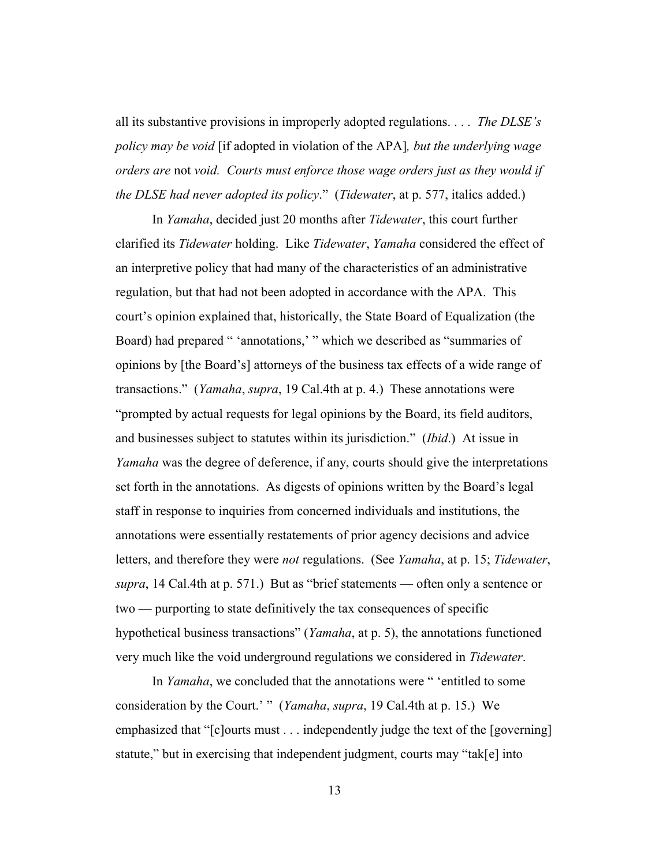all its substantive provisions in improperly adopted regulations. . . . *The DLSE's policy may be void* [if adopted in violation of the APA]*, but the underlying wage orders are* not *void. Courts must enforce those wage orders just as they would if the DLSE had never adopted its policy*." (*Tidewater*, at p. 577, italics added.)

In *Yamaha*, decided just 20 months after *Tidewater*, this court further clarified its *Tidewater* holding. Like *Tidewater*, *Yamaha* considered the effect of an interpretive policy that had many of the characteristics of an administrative regulation, but that had not been adopted in accordance with the APA. This court's opinion explained that, historically, the State Board of Equalization (the Board) had prepared " 'annotations,' " which we described as "summaries of opinions by [the Board's] attorneys of the business tax effects of a wide range of transactions." (*Yamaha*, *supra*, 19 Cal.4th at p. 4.) These annotations were "prompted by actual requests for legal opinions by the Board, its field auditors, and businesses subject to statutes within its jurisdiction." (*Ibid*.) At issue in *Yamaha* was the degree of deference, if any, courts should give the interpretations set forth in the annotations. As digests of opinions written by the Board's legal staff in response to inquiries from concerned individuals and institutions, the annotations were essentially restatements of prior agency decisions and advice letters, and therefore they were *not* regulations. (See *Yamaha*, at p. 15; *Tidewater*, *supra*, 14 Cal.4th at p. 571.) But as "brief statements — often only a sentence or two — purporting to state definitively the tax consequences of specific hypothetical business transactions" (*Yamaha*, at p. 5), the annotations functioned very much like the void underground regulations we considered in *Tidewater*.

In *Yamaha*, we concluded that the annotations were " 'entitled to some consideration by the Court.' " (*Yamaha*, *supra*, 19 Cal.4th at p. 15.) We emphasized that "[c]ourts must . . . independently judge the text of the [governing] statute," but in exercising that independent judgment, courts may "tak[e] into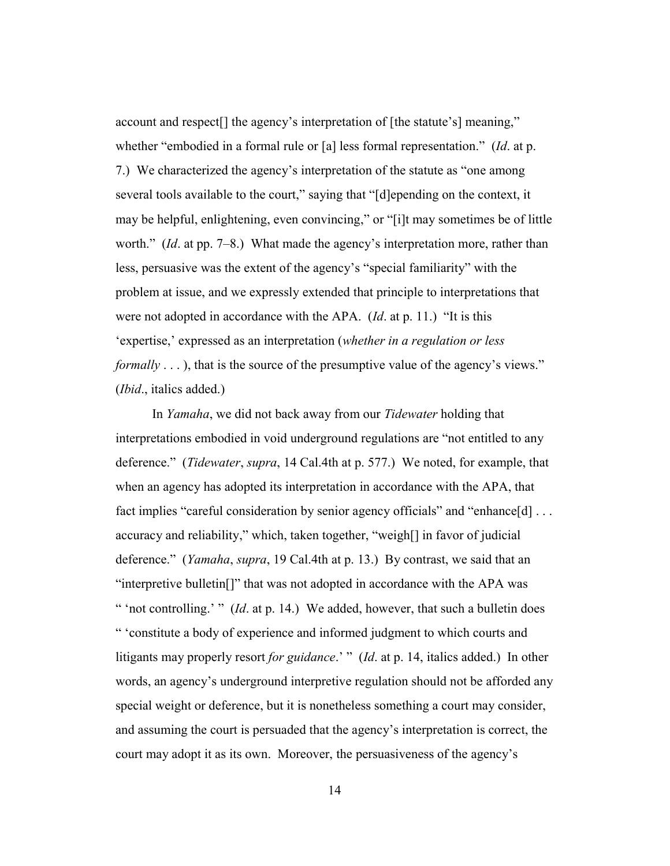account and respect<sup>[]</sup> the agency's interpretation of [the statute's] meaning." whether "embodied in a formal rule or [a] less formal representation." (*Id*. at p. 7.) We characterized the agency's interpretation of the statute as "one among several tools available to the court," saying that "[d]epending on the context, it may be helpful, enlightening, even convincing," or "[i]t may sometimes be of little worth." (*Id*. at pp. 7–8.) What made the agency's interpretation more, rather than less, persuasive was the extent of the agency's "special familiarity" with the problem at issue, and we expressly extended that principle to interpretations that were not adopted in accordance with the APA. (*Id*. at p. 11.) "It is this 'expertise,' expressed as an interpretation (*whether in a regulation or less formally* ..., that is the source of the presumptive value of the agency's views." (*Ibid*., italics added.)

In *Yamaha*, we did not back away from our *Tidewater* holding that interpretations embodied in void underground regulations are "not entitled to any deference." (*Tidewater*, *supra*, 14 Cal.4th at p. 577.) We noted, for example, that when an agency has adopted its interpretation in accordance with the APA, that fact implies "careful consideration by senior agency officials" and "enhance[d] ... accuracy and reliability," which, taken together, "weigh[] in favor of judicial deference." (*Yamaha*, *supra*, 19 Cal.4th at p. 13.) By contrast, we said that an "interpretive bulletin[]" that was not adopted in accordance with the APA was " 'not controlling.' " (*Id*. at p. 14.) We added, however, that such a bulletin does " 'constitute a body of experience and informed judgment to which courts and litigants may properly resort *for guidance*.' " (*Id*. at p. 14, italics added.) In other words, an agency's underground interpretive regulation should not be afforded any special weight or deference, but it is nonetheless something a court may consider, and assuming the court is persuaded that the agency's interpretation is correct, the court may adopt it as its own. Moreover, the persuasiveness of the agency's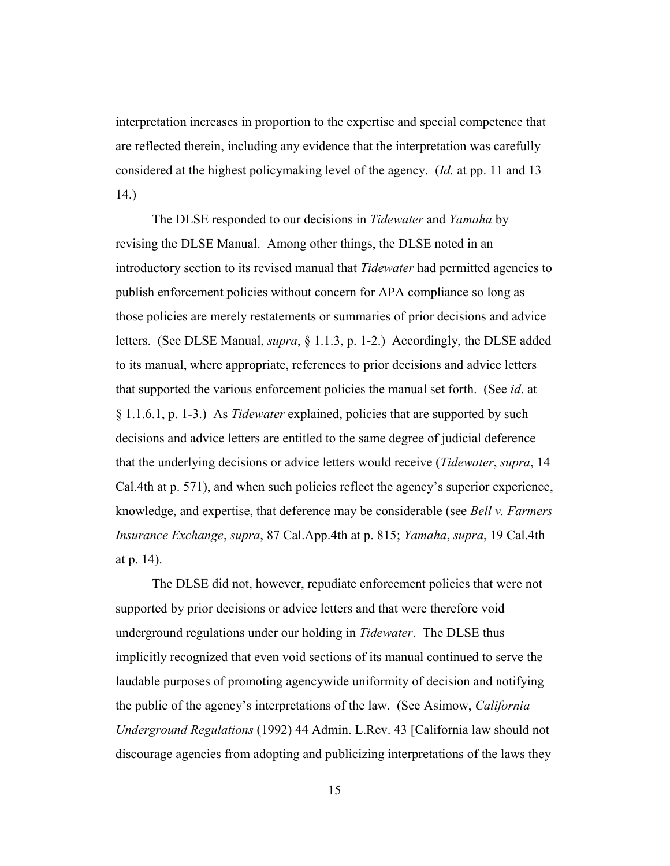interpretation increases in proportion to the expertise and special competence that are reflected therein, including any evidence that the interpretation was carefully considered at the highest policymaking level of the agency. (*Id.* at pp. 11 and 13– 14.)

The DLSE responded to our decisions in *Tidewater* and *Yamaha* by revising the DLSE Manual. Among other things, the DLSE noted in an introductory section to its revised manual that *Tidewater* had permitted agencies to publish enforcement policies without concern for APA compliance so long as those policies are merely restatements or summaries of prior decisions and advice letters. (See DLSE Manual, *supra*, § 1.1.3, p. 1-2.) Accordingly, the DLSE added to its manual, where appropriate, references to prior decisions and advice letters that supported the various enforcement policies the manual set forth. (See *id*. at § 1.1.6.1, p. 1-3.) As *Tidewater* explained, policies that are supported by such decisions and advice letters are entitled to the same degree of judicial deference that the underlying decisions or advice letters would receive (*Tidewater*, *supra*, 14 Cal.4th at p. 571), and when such policies reflect the agency's superior experience, knowledge, and expertise, that deference may be considerable (see *Bell v. Farmers Insurance Exchange*, *supra*, 87 Cal.App.4th at p. 815; *Yamaha*, *supra*, 19 Cal.4th at p. 14).

The DLSE did not, however, repudiate enforcement policies that were not supported by prior decisions or advice letters and that were therefore void underground regulations under our holding in *Tidewater*. The DLSE thus implicitly recognized that even void sections of its manual continued to serve the laudable purposes of promoting agencywide uniformity of decision and notifying the public of the agency's interpretations of the law. (See Asimow, *California Underground Regulations* (1992) 44 Admin. L.Rev. 43 [California law should not discourage agencies from adopting and publicizing interpretations of the laws they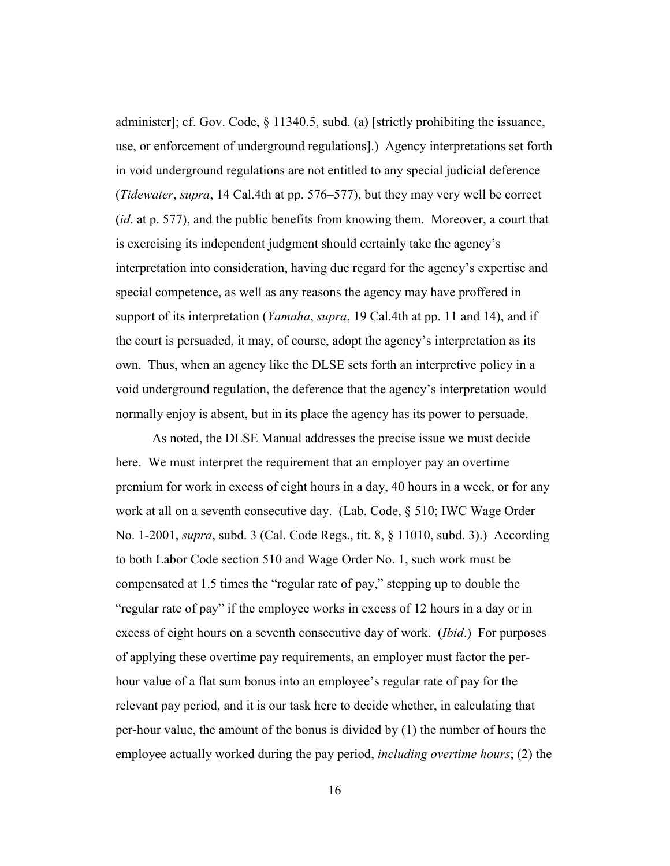administer]; cf. Gov. Code,  $\S$  11340.5, subd. (a) [strictly prohibiting the issuance, use, or enforcement of underground regulations].) Agency interpretations set forth in void underground regulations are not entitled to any special judicial deference (*Tidewater*, *supra*, 14 Cal.4th at pp. 576–577), but they may very well be correct (*id*. at p. 577), and the public benefits from knowing them. Moreover, a court that is exercising its independent judgment should certainly take the agency's interpretation into consideration, having due regard for the agency's expertise and special competence, as well as any reasons the agency may have proffered in support of its interpretation (*Yamaha*, *supra*, 19 Cal.4th at pp. 11 and 14), and if the court is persuaded, it may, of course, adopt the agency's interpretation as its own. Thus, when an agency like the DLSE sets forth an interpretive policy in a void underground regulation, the deference that the agency's interpretation would normally enjoy is absent, but in its place the agency has its power to persuade.

As noted, the DLSE Manual addresses the precise issue we must decide here. We must interpret the requirement that an employer pay an overtime premium for work in excess of eight hours in a day, 40 hours in a week, or for any work at all on a seventh consecutive day. (Lab. Code, § 510; IWC Wage Order No. 1-2001, *supra*, subd. 3 (Cal. Code Regs., tit. 8, § 11010, subd. 3).) According to both Labor Code section 510 and Wage Order No. 1, such work must be compensated at 1.5 times the "regular rate of pay," stepping up to double the "regular rate of pay" if the employee works in excess of 12 hours in a day or in excess of eight hours on a seventh consecutive day of work. (*Ibid*.) For purposes of applying these overtime pay requirements, an employer must factor the perhour value of a flat sum bonus into an employee's regular rate of pay for the relevant pay period, and it is our task here to decide whether, in calculating that per-hour value, the amount of the bonus is divided by (1) the number of hours the employee actually worked during the pay period, *including overtime hours*; (2) the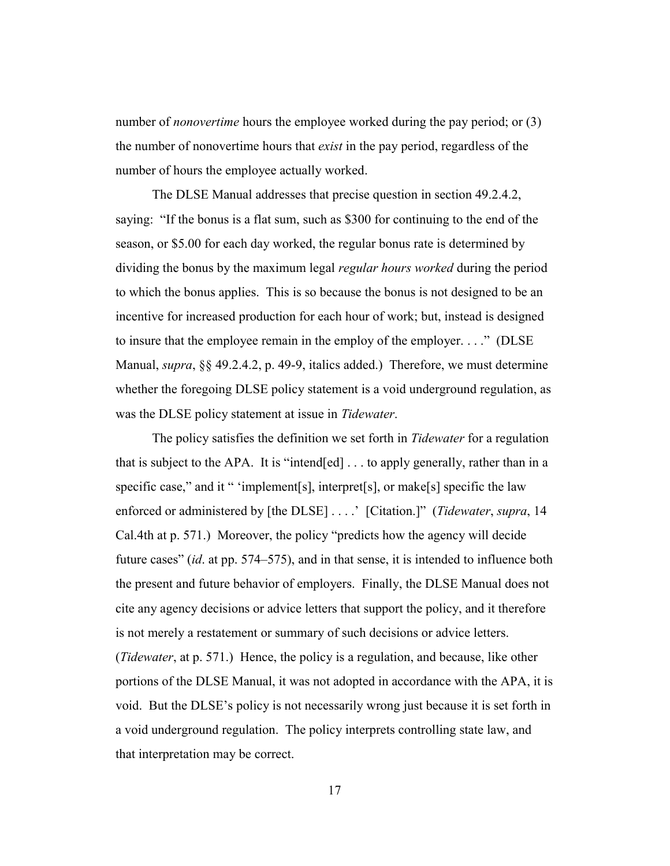number of *nonovertime* hours the employee worked during the pay period; or (3) the number of nonovertime hours that *exist* in the pay period, regardless of the number of hours the employee actually worked.

The DLSE Manual addresses that precise question in section 49.2.4.2, saying: "If the bonus is a flat sum, such as \$300 for continuing to the end of the season, or \$5.00 for each day worked, the regular bonus rate is determined by dividing the bonus by the maximum legal *regular hours worked* during the period to which the bonus applies. This is so because the bonus is not designed to be an incentive for increased production for each hour of work; but, instead is designed to insure that the employee remain in the employ of the employer. . . ." (DLSE Manual, *supra*, §§ 49.2.4.2, p. 49-9, italics added.) Therefore, we must determine whether the foregoing DLSE policy statement is a void underground regulation, as was the DLSE policy statement at issue in *Tidewater*.

The policy satisfies the definition we set forth in *Tidewater* for a regulation that is subject to the APA. It is "intend[ed] . . . to apply generally, rather than in a specific case," and it " 'implement[s], interpret[s], or make[s] specific the law enforced or administered by [the DLSE] . . . .' [Citation.]" (*Tidewater*, *supra*, 14 Cal.4th at p. 571.) Moreover, the policy "predicts how the agency will decide future cases" (*id*. at pp. 574–575), and in that sense, it is intended to influence both the present and future behavior of employers. Finally, the DLSE Manual does not cite any agency decisions or advice letters that support the policy, and it therefore is not merely a restatement or summary of such decisions or advice letters. (*Tidewater*, at p. 571.) Hence, the policy is a regulation, and because, like other portions of the DLSE Manual, it was not adopted in accordance with the APA, it is void. But the DLSE's policy is not necessarily wrong just because it is set forth in a void underground regulation. The policy interprets controlling state law, and that interpretation may be correct.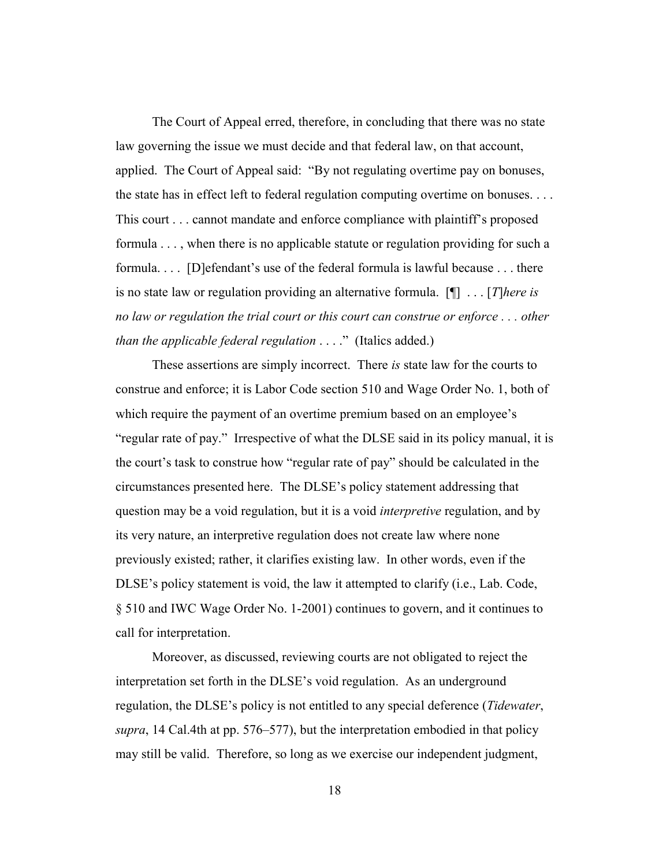The Court of Appeal erred, therefore, in concluding that there was no state law governing the issue we must decide and that federal law, on that account, applied. The Court of Appeal said: "By not regulating overtime pay on bonuses, the state has in effect left to federal regulation computing overtime on bonuses. . . . This court . . . cannot mandate and enforce compliance with plaintiff's proposed formula . . . , when there is no applicable statute or regulation providing for such a formula. . . . [D]efendant's use of the federal formula is lawful because . . . there is no state law or regulation providing an alternative formula. [¶] . . . [*T*]*here is no law or regulation the trial court or this court can construe or enforce . . . other than the applicable federal regulation* . . . ." (Italics added.)

These assertions are simply incorrect. There *is* state law for the courts to construe and enforce; it is Labor Code section 510 and Wage Order No. 1, both of which require the payment of an overtime premium based on an employee's "regular rate of pay." Irrespective of what the DLSE said in its policy manual, it is the court's task to construe how "regular rate of pay" should be calculated in the circumstances presented here. The DLSE's policy statement addressing that question may be a void regulation, but it is a void *interpretive* regulation, and by its very nature, an interpretive regulation does not create law where none previously existed; rather, it clarifies existing law. In other words, even if the DLSE's policy statement is void, the law it attempted to clarify (i.e., Lab. Code, § 510 and IWC Wage Order No. 1-2001) continues to govern, and it continues to call for interpretation.

Moreover, as discussed, reviewing courts are not obligated to reject the interpretation set forth in the DLSE's void regulation. As an underground regulation, the DLSE's policy is not entitled to any special deference (*Tidewater*, *supra*, 14 Cal.4th at pp. 576–577), but the interpretation embodied in that policy may still be valid. Therefore, so long as we exercise our independent judgment,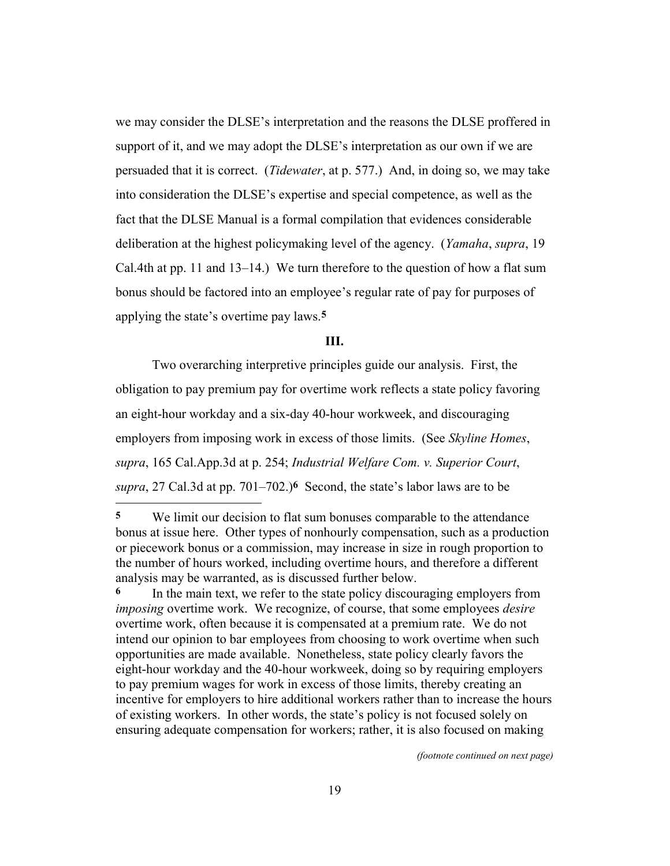we may consider the DLSE's interpretation and the reasons the DLSE proffered in support of it, and we may adopt the DLSE's interpretation as our own if we are persuaded that it is correct. (*Tidewater*, at p. 577.) And, in doing so, we may take into consideration the DLSE's expertise and special competence, as well as the fact that the DLSE Manual is a formal compilation that evidences considerable deliberation at the highest policymaking level of the agency. (*Yamaha*, *supra*, 19 Cal.4th at pp. 11 and 13–14.) We turn therefore to the question of how a flat sum bonus should be factored into an employee's regular rate of pay for purposes of applying the state's overtime pay laws.**5**

#### **III.**

Two overarching interpretive principles guide our analysis. First, the obligation to pay premium pay for overtime work reflects a state policy favoring an eight-hour workday and a six-day 40-hour workweek, and discouraging employers from imposing work in excess of those limits. (See *Skyline Homes*, *supra*, 165 Cal.App.3d at p. 254; *Industrial Welfare Com. v. Superior Court*, *supra*, 27 Cal.3d at pp. 701–702.)**6** Second, the state's labor laws are to be <u>.</u>

*(footnote continued on next page)*

**<sup>5</sup>** We limit our decision to flat sum bonuses comparable to the attendance bonus at issue here. Other types of nonhourly compensation, such as a production or piecework bonus or a commission, may increase in size in rough proportion to the number of hours worked, including overtime hours, and therefore a different analysis may be warranted, as is discussed further below.

**<sup>6</sup>** In the main text, we refer to the state policy discouraging employers from *imposing* overtime work. We recognize, of course, that some employees *desire* overtime work, often because it is compensated at a premium rate. We do not intend our opinion to bar employees from choosing to work overtime when such opportunities are made available. Nonetheless, state policy clearly favors the eight-hour workday and the 40-hour workweek, doing so by requiring employers to pay premium wages for work in excess of those limits, thereby creating an incentive for employers to hire additional workers rather than to increase the hours of existing workers. In other words, the state's policy is not focused solely on ensuring adequate compensation for workers; rather, it is also focused on making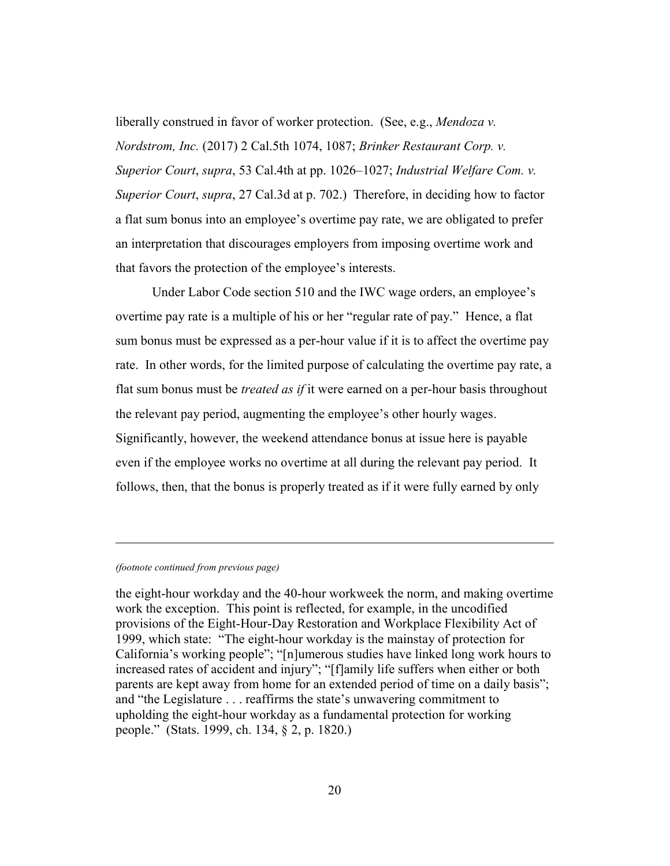liberally construed in favor of worker protection. (See, e.g., *Mendoza v. Nordstrom, Inc.* (2017) 2 Cal.5th 1074, 1087; *Brinker Restaurant Corp. v. Superior Court*, *supra*, 53 Cal.4th at pp. 1026–1027; *Industrial Welfare Com. v. Superior Court*, *supra*, 27 Cal.3d at p. 702.) Therefore, in deciding how to factor a flat sum bonus into an employee's overtime pay rate, we are obligated to prefer an interpretation that discourages employers from imposing overtime work and that favors the protection of the employee's interests.

Under Labor Code section 510 and the IWC wage orders, an employee's overtime pay rate is a multiple of his or her "regular rate of pay." Hence, a flat sum bonus must be expressed as a per-hour value if it is to affect the overtime pay rate. In other words, for the limited purpose of calculating the overtime pay rate, a flat sum bonus must be *treated as if* it were earned on a per-hour basis throughout the relevant pay period, augmenting the employee's other hourly wages. Significantly, however, the weekend attendance bonus at issue here is payable even if the employee works no overtime at all during the relevant pay period. It follows, then, that the bonus is properly treated as if it were fully earned by only

#### *(footnote continued from previous page)*

<u>.</u>

the eight-hour workday and the 40-hour workweek the norm, and making overtime work the exception. This point is reflected, for example, in the uncodified provisions of the Eight-Hour-Day Restoration and Workplace Flexibility Act of 1999, which state: "The eight-hour workday is the mainstay of protection for California's working people"; "[n]umerous studies have linked long work hours to increased rates of accident and injury"; "[f]amily life suffers when either or both parents are kept away from home for an extended period of time on a daily basis"; and "the Legislature . . . reaffirms the state's unwavering commitment to upholding the eight-hour workday as a fundamental protection for working people." (Stats. 1999, ch. 134, § 2, p. 1820.)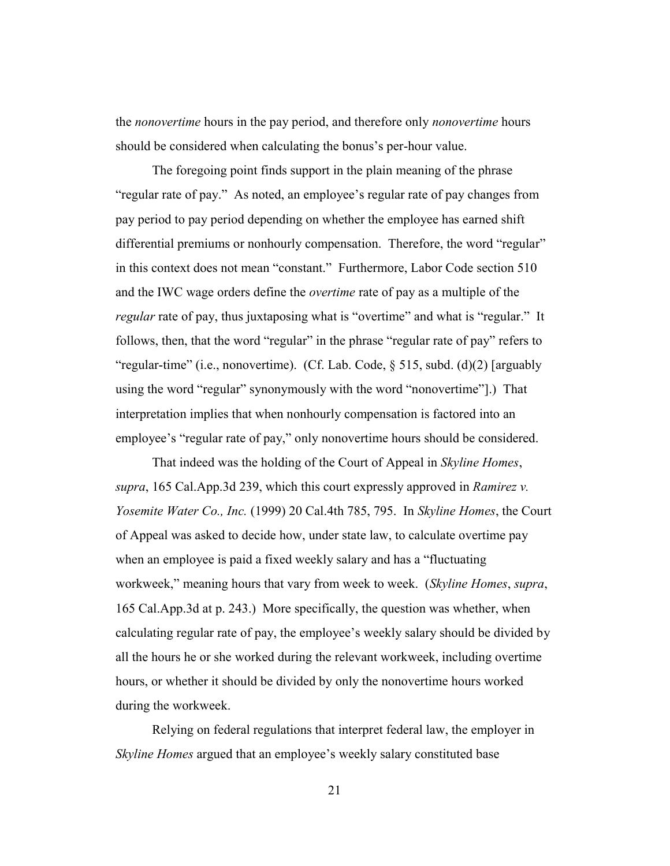the *nonovertime* hours in the pay period, and therefore only *nonovertime* hours should be considered when calculating the bonus's per-hour value.

The foregoing point finds support in the plain meaning of the phrase "regular rate of pay." As noted, an employee's regular rate of pay changes from pay period to pay period depending on whether the employee has earned shift differential premiums or nonhourly compensation. Therefore, the word "regular" in this context does not mean "constant." Furthermore, Labor Code section 510 and the IWC wage orders define the *overtime* rate of pay as a multiple of the *regular* rate of pay, thus juxtaposing what is "overtime" and what is "regular." It follows, then, that the word "regular" in the phrase "regular rate of pay" refers to "regular-time" (i.e., nonovertime). (Cf. Lab. Code, § 515, subd. (d)(2) [arguably using the word "regular" synonymously with the word "nonovertime"].) That interpretation implies that when nonhourly compensation is factored into an employee's "regular rate of pay," only nonovertime hours should be considered.

That indeed was the holding of the Court of Appeal in *Skyline Homes*, *supra*, 165 Cal.App.3d 239, which this court expressly approved in *Ramirez v. Yosemite Water Co., Inc.* (1999) 20 Cal.4th 785, 795. In *Skyline Homes*, the Court of Appeal was asked to decide how, under state law, to calculate overtime pay when an employee is paid a fixed weekly salary and has a "fluctuating workweek," meaning hours that vary from week to week. (*Skyline Homes*, *supra*, 165 Cal.App.3d at p. 243.) More specifically, the question was whether, when calculating regular rate of pay, the employee's weekly salary should be divided by all the hours he or she worked during the relevant workweek, including overtime hours, or whether it should be divided by only the nonovertime hours worked during the workweek.

Relying on federal regulations that interpret federal law, the employer in *Skyline Homes* argued that an employee's weekly salary constituted base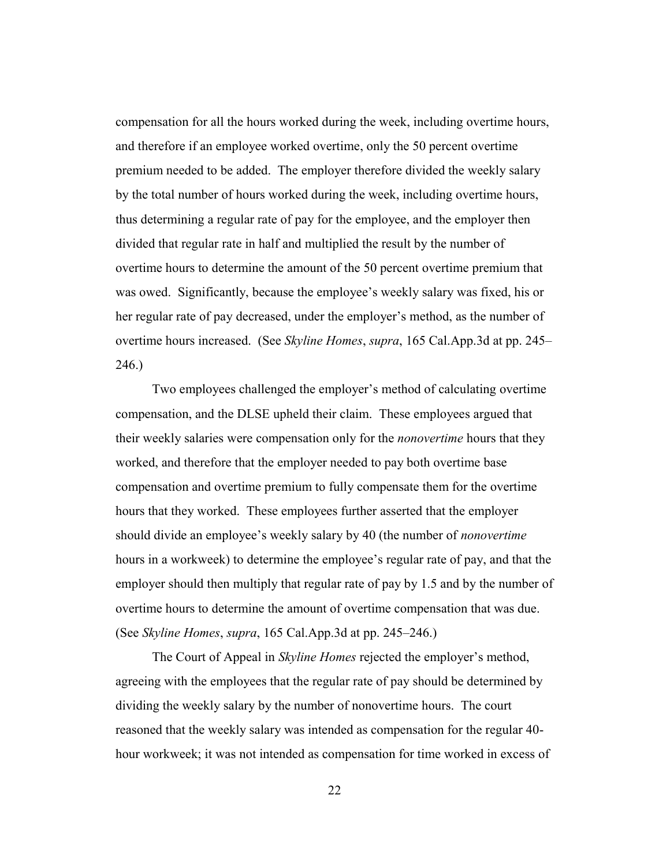compensation for all the hours worked during the week, including overtime hours, and therefore if an employee worked overtime, only the 50 percent overtime premium needed to be added. The employer therefore divided the weekly salary by the total number of hours worked during the week, including overtime hours, thus determining a regular rate of pay for the employee, and the employer then divided that regular rate in half and multiplied the result by the number of overtime hours to determine the amount of the 50 percent overtime premium that was owed. Significantly, because the employee's weekly salary was fixed, his or her regular rate of pay decreased, under the employer's method, as the number of overtime hours increased. (See *Skyline Homes*, *supra*, 165 Cal.App.3d at pp. 245– 246.)

Two employees challenged the employer's method of calculating overtime compensation, and the DLSE upheld their claim. These employees argued that their weekly salaries were compensation only for the *nonovertime* hours that they worked, and therefore that the employer needed to pay both overtime base compensation and overtime premium to fully compensate them for the overtime hours that they worked. These employees further asserted that the employer should divide an employee's weekly salary by 40 (the number of *nonovertime* hours in a workweek) to determine the employee's regular rate of pay, and that the employer should then multiply that regular rate of pay by 1.5 and by the number of overtime hours to determine the amount of overtime compensation that was due. (See *Skyline Homes*, *supra*, 165 Cal.App.3d at pp. 245–246.)

The Court of Appeal in *Skyline Homes* rejected the employer's method, agreeing with the employees that the regular rate of pay should be determined by dividing the weekly salary by the number of nonovertime hours. The court reasoned that the weekly salary was intended as compensation for the regular 40 hour workweek; it was not intended as compensation for time worked in excess of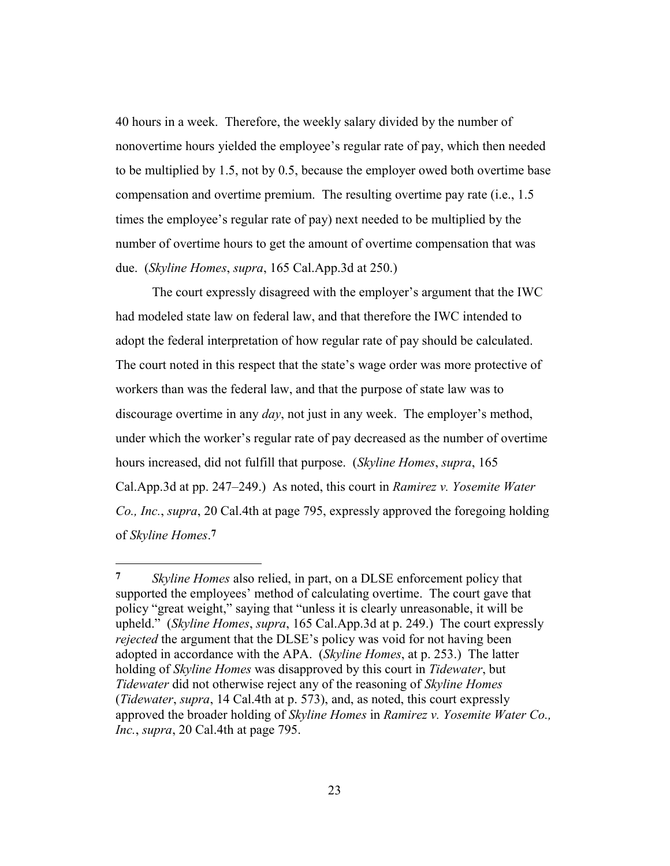40 hours in a week. Therefore, the weekly salary divided by the number of nonovertime hours yielded the employee's regular rate of pay, which then needed to be multiplied by 1.5, not by 0.5, because the employer owed both overtime base compensation and overtime premium. The resulting overtime pay rate (i.e., 1.5 times the employee's regular rate of pay) next needed to be multiplied by the number of overtime hours to get the amount of overtime compensation that was due. (*Skyline Homes*, *supra*, 165 Cal.App.3d at 250.)

The court expressly disagreed with the employer's argument that the IWC had modeled state law on federal law, and that therefore the IWC intended to adopt the federal interpretation of how regular rate of pay should be calculated. The court noted in this respect that the state's wage order was more protective of workers than was the federal law, and that the purpose of state law was to discourage overtime in any *day*, not just in any week. The employer's method, under which the worker's regular rate of pay decreased as the number of overtime hours increased, did not fulfill that purpose. (*Skyline Homes*, *supra*, 165 Cal.App.3d at pp. 247–249.) As noted, this court in *Ramirez v. Yosemite Water Co., Inc.*, *supra*, 20 Cal.4th at page 795, expressly approved the foregoing holding of *Skyline Homes*.**7**

**<sup>7</sup>** *Skyline Homes* also relied, in part, on a DLSE enforcement policy that supported the employees' method of calculating overtime. The court gave that policy "great weight," saying that "unless it is clearly unreasonable, it will be upheld." (*Skyline Homes*, *supra*, 165 Cal.App.3d at p. 249.) The court expressly *rejected* the argument that the DLSE's policy was void for not having been adopted in accordance with the APA. (*Skyline Homes*, at p. 253.) The latter holding of *Skyline Homes* was disapproved by this court in *Tidewater*, but *Tidewater* did not otherwise reject any of the reasoning of *Skyline Homes* (*Tidewater*, *supra*, 14 Cal.4th at p. 573), and, as noted, this court expressly approved the broader holding of *Skyline Homes* in *Ramirez v. Yosemite Water Co., Inc.*, *supra*, 20 Cal.4th at page 795.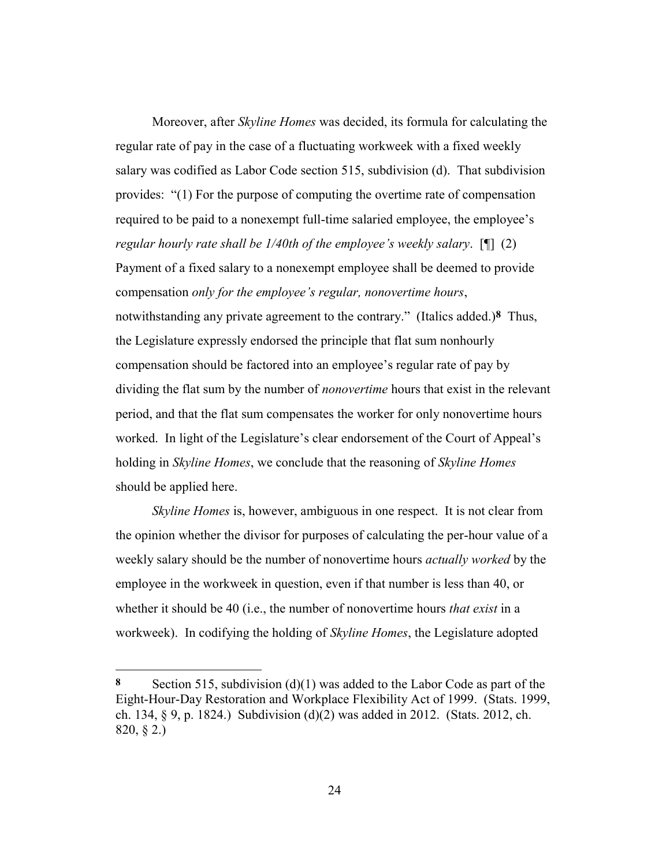Moreover, after *Skyline Homes* was decided, its formula for calculating the regular rate of pay in the case of a fluctuating workweek with a fixed weekly salary was codified as Labor Code section 515, subdivision (d). That subdivision provides: "(1) For the purpose of computing the overtime rate of compensation required to be paid to a nonexempt full-time salaried employee, the employee's *regular hourly rate shall be 1/40th of the employee's weekly salary*. [¶] (2) Payment of a fixed salary to a nonexempt employee shall be deemed to provide compensation *only for the employee's regular, nonovertime hours*, notwithstanding any private agreement to the contrary." (Italics added.)**8** Thus, the Legislature expressly endorsed the principle that flat sum nonhourly compensation should be factored into an employee's regular rate of pay by dividing the flat sum by the number of *nonovertime* hours that exist in the relevant period, and that the flat sum compensates the worker for only nonovertime hours worked. In light of the Legislature's clear endorsement of the Court of Appeal's holding in *Skyline Homes*, we conclude that the reasoning of *Skyline Homes* should be applied here.

*Skyline Homes* is, however, ambiguous in one respect. It is not clear from the opinion whether the divisor for purposes of calculating the per-hour value of a weekly salary should be the number of nonovertime hours *actually worked* by the employee in the workweek in question, even if that number is less than 40, or whether it should be 40 (i.e., the number of nonovertime hours *that exist* in a workweek). In codifying the holding of *Skyline Homes*, the Legislature adopted

<u>.</u>

**<sup>8</sup>** Section 515, subdivision (d)(1) was added to the Labor Code as part of the Eight-Hour-Day Restoration and Workplace Flexibility Act of 1999. (Stats. 1999, ch. 134, § 9, p. 1824.) Subdivision (d)(2) was added in 2012. (Stats. 2012, ch. 820, § 2.)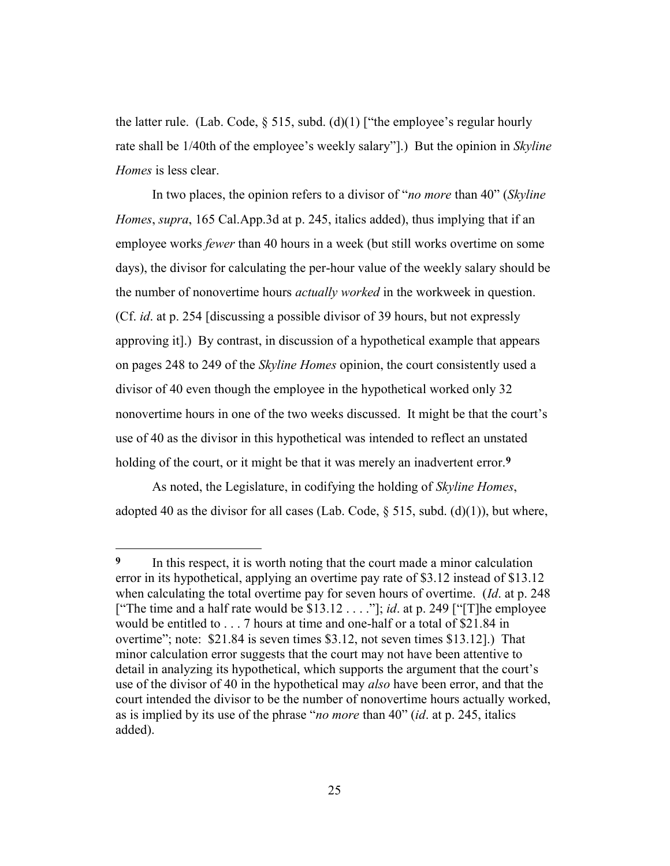the latter rule. (Lab. Code,  $\S$  515, subd. (d)(1) ["the employee's regular hourly rate shall be 1/40th of the employee's weekly salary"].) But the opinion in *Skyline Homes* is less clear.

In two places, the opinion refers to a divisor of "*no more* than 40" (*Skyline Homes*, *supra*, 165 Cal.App.3d at p. 245, italics added), thus implying that if an employee works *fewer* than 40 hours in a week (but still works overtime on some days), the divisor for calculating the per-hour value of the weekly salary should be the number of nonovertime hours *actually worked* in the workweek in question. (Cf. *id*. at p. 254 [discussing a possible divisor of 39 hours, but not expressly approving it].) By contrast, in discussion of a hypothetical example that appears on pages 248 to 249 of the *Skyline Homes* opinion, the court consistently used a divisor of 40 even though the employee in the hypothetical worked only 32 nonovertime hours in one of the two weeks discussed. It might be that the court's use of 40 as the divisor in this hypothetical was intended to reflect an unstated holding of the court, or it might be that it was merely an inadvertent error.**9**

As noted, the Legislature, in codifying the holding of *Skyline Homes*, adopted 40 as the divisor for all cases (Lab. Code,  $\S$  515, subd. (d)(1)), but where,

**<sup>9</sup>** In this respect, it is worth noting that the court made a minor calculation error in its hypothetical, applying an overtime pay rate of \$3.12 instead of \$13.12 when calculating the total overtime pay for seven hours of overtime. (*Id*. at p. 248 ["The time and a half rate would be \$13.12 . . . ."]; *id*. at p. 249 ["[T]he employee would be entitled to . . . 7 hours at time and one-half or a total of \$21.84 in overtime"; note: \$21.84 is seven times \$3.12, not seven times \$13.12].) That minor calculation error suggests that the court may not have been attentive to detail in analyzing its hypothetical, which supports the argument that the court's use of the divisor of 40 in the hypothetical may *also* have been error, and that the court intended the divisor to be the number of nonovertime hours actually worked, as is implied by its use of the phrase "*no more* than 40" (*id*. at p. 245, italics added).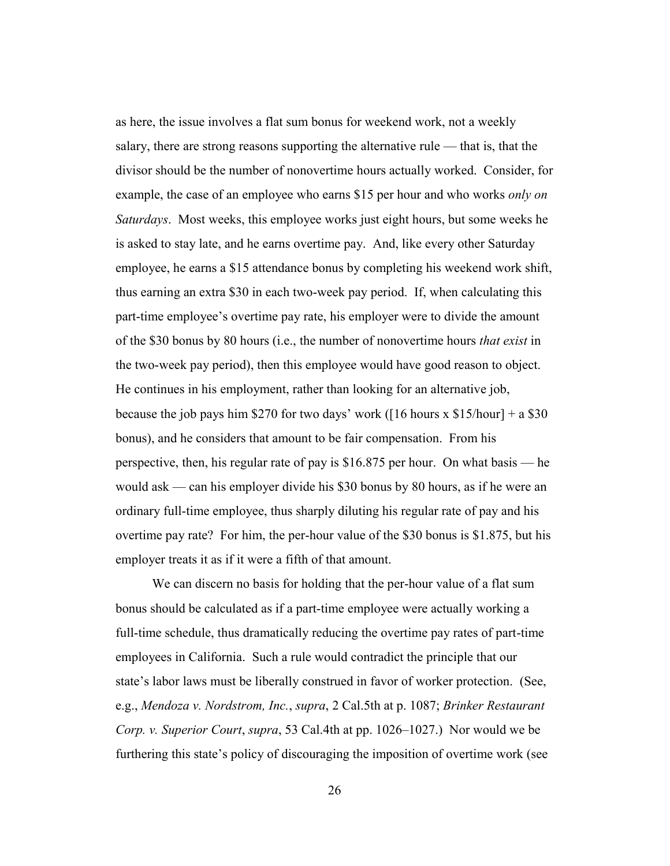as here, the issue involves a flat sum bonus for weekend work, not a weekly salary, there are strong reasons supporting the alternative rule — that is, that the divisor should be the number of nonovertime hours actually worked. Consider, for example, the case of an employee who earns \$15 per hour and who works *only on Saturdays*. Most weeks, this employee works just eight hours, but some weeks he is asked to stay late, and he earns overtime pay. And, like every other Saturday employee, he earns a \$15 attendance bonus by completing his weekend work shift, thus earning an extra \$30 in each two-week pay period. If, when calculating this part-time employee's overtime pay rate, his employer were to divide the amount of the \$30 bonus by 80 hours (i.e., the number of nonovertime hours *that exist* in the two-week pay period), then this employee would have good reason to object. He continues in his employment, rather than looking for an alternative job, because the job pays him \$270 for two days' work ( $[16$  hours x \$15/hour] + a \$30 bonus), and he considers that amount to be fair compensation. From his perspective, then, his regular rate of pay is \$16.875 per hour. On what basis — he would ask — can his employer divide his \$30 bonus by 80 hours, as if he were an ordinary full-time employee, thus sharply diluting his regular rate of pay and his overtime pay rate? For him, the per-hour value of the \$30 bonus is \$1.875, but his employer treats it as if it were a fifth of that amount.

We can discern no basis for holding that the per-hour value of a flat sum bonus should be calculated as if a part-time employee were actually working a full-time schedule, thus dramatically reducing the overtime pay rates of part-time employees in California. Such a rule would contradict the principle that our state's labor laws must be liberally construed in favor of worker protection. (See, e.g., *Mendoza v. Nordstrom, Inc.*, *supra*, 2 Cal.5th at p. 1087; *Brinker Restaurant Corp. v. Superior Court*, *supra*, 53 Cal.4th at pp. 1026–1027.) Nor would we be furthering this state's policy of discouraging the imposition of overtime work (see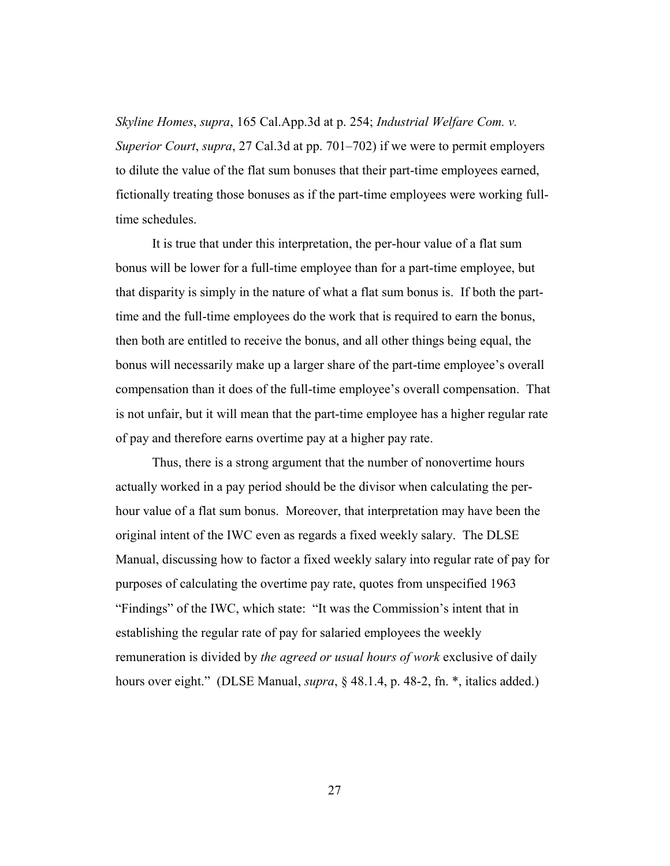*Skyline Homes*, *supra*, 165 Cal.App.3d at p. 254; *Industrial Welfare Com. v. Superior Court*, *supra*, 27 Cal.3d at pp. 701–702) if we were to permit employers to dilute the value of the flat sum bonuses that their part-time employees earned, fictionally treating those bonuses as if the part-time employees were working fulltime schedules.

It is true that under this interpretation, the per-hour value of a flat sum bonus will be lower for a full-time employee than for a part-time employee, but that disparity is simply in the nature of what a flat sum bonus is. If both the parttime and the full-time employees do the work that is required to earn the bonus, then both are entitled to receive the bonus, and all other things being equal, the bonus will necessarily make up a larger share of the part-time employee's overall compensation than it does of the full-time employee's overall compensation. That is not unfair, but it will mean that the part-time employee has a higher regular rate of pay and therefore earns overtime pay at a higher pay rate.

Thus, there is a strong argument that the number of nonovertime hours actually worked in a pay period should be the divisor when calculating the perhour value of a flat sum bonus. Moreover, that interpretation may have been the original intent of the IWC even as regards a fixed weekly salary. The DLSE Manual, discussing how to factor a fixed weekly salary into regular rate of pay for purposes of calculating the overtime pay rate, quotes from unspecified 1963 "Findings" of the IWC, which state: "It was the Commission's intent that in establishing the regular rate of pay for salaried employees the weekly remuneration is divided by *the agreed or usual hours of work* exclusive of daily hours over eight." (DLSE Manual, *supra*, § 48.1.4, p. 48-2, fn. \*, italics added.)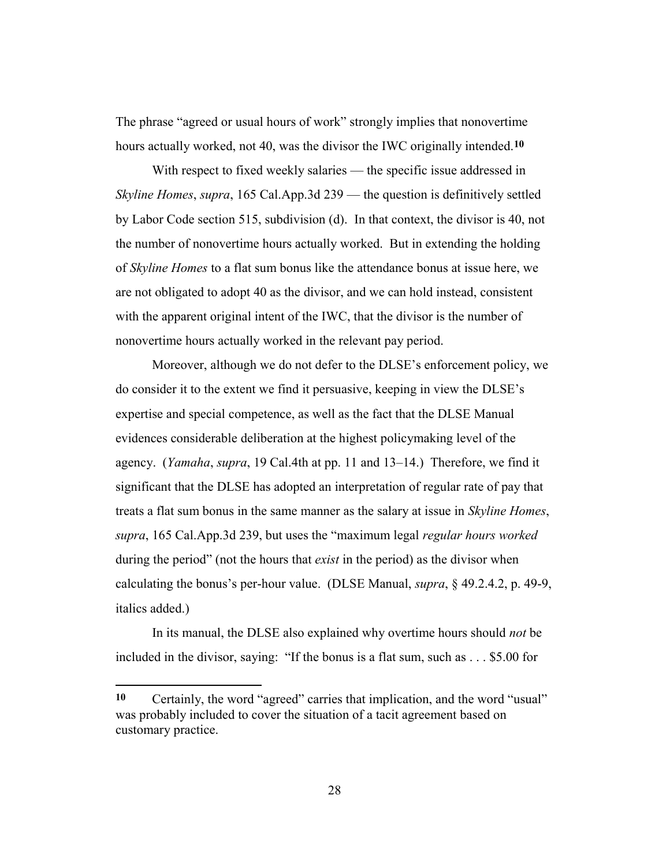The phrase "agreed or usual hours of work" strongly implies that nonovertime hours actually worked, not 40, was the divisor the IWC originally intended.**10**

With respect to fixed weekly salaries — the specific issue addressed in *Skyline Homes*, *supra*, 165 Cal.App.3d 239 — the question is definitively settled by Labor Code section 515, subdivision (d). In that context, the divisor is 40, not the number of nonovertime hours actually worked. But in extending the holding of *Skyline Homes* to a flat sum bonus like the attendance bonus at issue here, we are not obligated to adopt 40 as the divisor, and we can hold instead, consistent with the apparent original intent of the IWC, that the divisor is the number of nonovertime hours actually worked in the relevant pay period.

Moreover, although we do not defer to the DLSE's enforcement policy, we do consider it to the extent we find it persuasive, keeping in view the DLSE's expertise and special competence, as well as the fact that the DLSE Manual evidences considerable deliberation at the highest policymaking level of the agency. (*Yamaha*, *supra*, 19 Cal.4th at pp. 11 and 13–14.) Therefore, we find it significant that the DLSE has adopted an interpretation of regular rate of pay that treats a flat sum bonus in the same manner as the salary at issue in *Skyline Homes*, *supra*, 165 Cal.App.3d 239, but uses the "maximum legal *regular hours worked* during the period" (not the hours that *exist* in the period) as the divisor when calculating the bonus's per-hour value. (DLSE Manual, *supra*, § 49.2.4.2, p. 49-9, italics added.)

In its manual, the DLSE also explained why overtime hours should *not* be included in the divisor, saying: "If the bonus is a flat sum, such as . . . \$5.00 for

<u>.</u>

**<sup>10</sup>** Certainly, the word "agreed" carries that implication, and the word "usual" was probably included to cover the situation of a tacit agreement based on customary practice.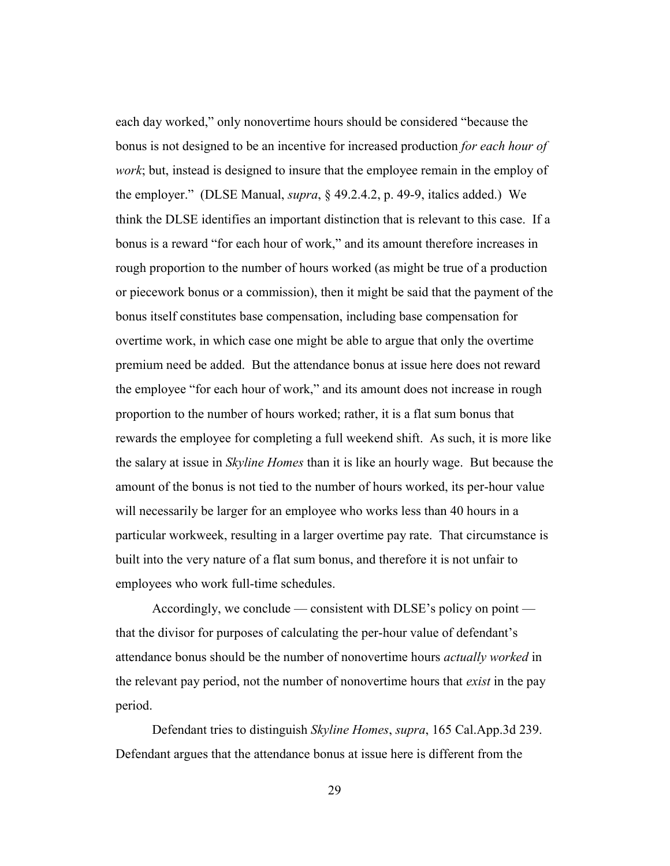each day worked," only nonovertime hours should be considered "because the bonus is not designed to be an incentive for increased production *for each hour of work*; but, instead is designed to insure that the employee remain in the employ of the employer." (DLSE Manual, *supra*, § 49.2.4.2, p. 49-9, italics added.) We think the DLSE identifies an important distinction that is relevant to this case. If a bonus is a reward "for each hour of work," and its amount therefore increases in rough proportion to the number of hours worked (as might be true of a production or piecework bonus or a commission), then it might be said that the payment of the bonus itself constitutes base compensation, including base compensation for overtime work, in which case one might be able to argue that only the overtime premium need be added. But the attendance bonus at issue here does not reward the employee "for each hour of work," and its amount does not increase in rough proportion to the number of hours worked; rather, it is a flat sum bonus that rewards the employee for completing a full weekend shift. As such, it is more like the salary at issue in *Skyline Homes* than it is like an hourly wage. But because the amount of the bonus is not tied to the number of hours worked, its per-hour value will necessarily be larger for an employee who works less than 40 hours in a particular workweek, resulting in a larger overtime pay rate. That circumstance is built into the very nature of a flat sum bonus, and therefore it is not unfair to employees who work full-time schedules.

Accordingly, we conclude — consistent with DLSE's policy on point that the divisor for purposes of calculating the per-hour value of defendant's attendance bonus should be the number of nonovertime hours *actually worked* in the relevant pay period, not the number of nonovertime hours that *exist* in the pay period.

Defendant tries to distinguish *Skyline Homes*, *supra*, 165 Cal.App.3d 239. Defendant argues that the attendance bonus at issue here is different from the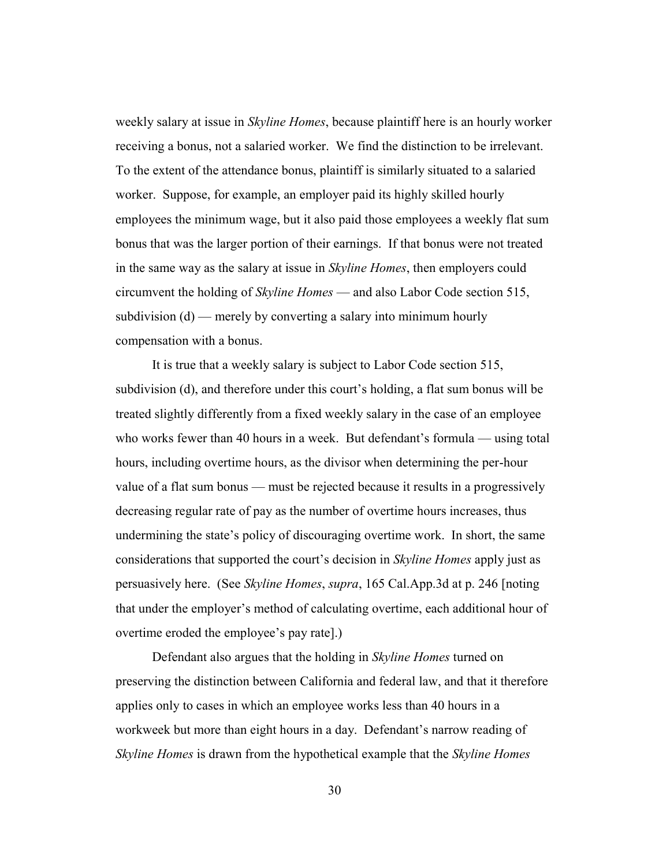weekly salary at issue in *Skyline Homes*, because plaintiff here is an hourly worker receiving a bonus, not a salaried worker. We find the distinction to be irrelevant. To the extent of the attendance bonus, plaintiff is similarly situated to a salaried worker. Suppose, for example, an employer paid its highly skilled hourly employees the minimum wage, but it also paid those employees a weekly flat sum bonus that was the larger portion of their earnings. If that bonus were not treated in the same way as the salary at issue in *Skyline Homes*, then employers could circumvent the holding of *Skyline Homes* — and also Labor Code section 515, subdivision (d) — merely by converting a salary into minimum hourly compensation with a bonus.

It is true that a weekly salary is subject to Labor Code section 515, subdivision (d), and therefore under this court's holding, a flat sum bonus will be treated slightly differently from a fixed weekly salary in the case of an employee who works fewer than 40 hours in a week. But defendant's formula — using total hours, including overtime hours, as the divisor when determining the per-hour value of a flat sum bonus — must be rejected because it results in a progressively decreasing regular rate of pay as the number of overtime hours increases, thus undermining the state's policy of discouraging overtime work. In short, the same considerations that supported the court's decision in *Skyline Homes* apply just as persuasively here. (See *Skyline Homes*, *supra*, 165 Cal.App.3d at p. 246 [noting that under the employer's method of calculating overtime, each additional hour of overtime eroded the employee's pay rate].)

Defendant also argues that the holding in *Skyline Homes* turned on preserving the distinction between California and federal law, and that it therefore applies only to cases in which an employee works less than 40 hours in a workweek but more than eight hours in a day. Defendant's narrow reading of *Skyline Homes* is drawn from the hypothetical example that the *Skyline Homes*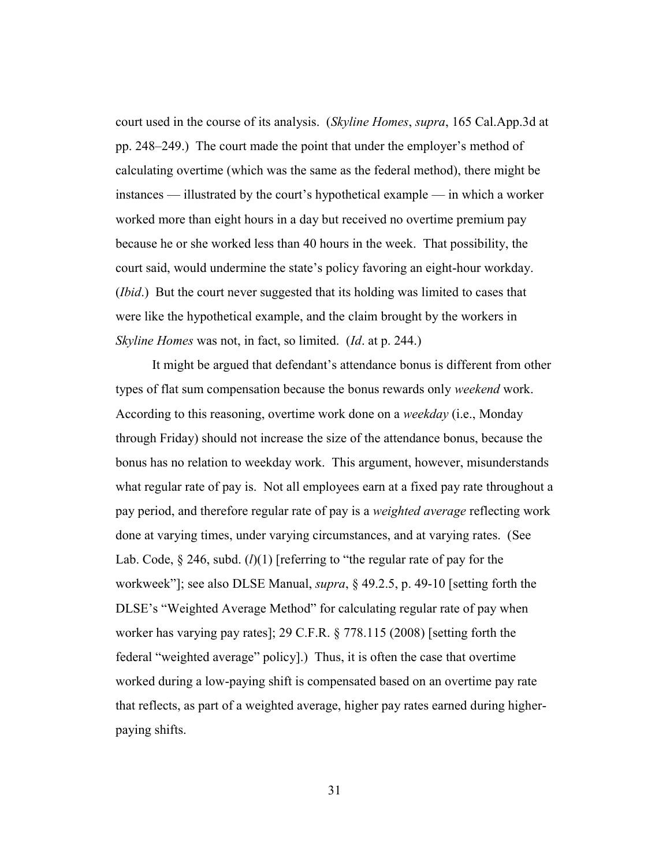court used in the course of its analysis. (*Skyline Homes*, *supra*, 165 Cal.App.3d at pp. 248–249.) The court made the point that under the employer's method of calculating overtime (which was the same as the federal method), there might be instances — illustrated by the court's hypothetical example — in which a worker worked more than eight hours in a day but received no overtime premium pay because he or she worked less than 40 hours in the week. That possibility, the court said, would undermine the state's policy favoring an eight-hour workday. (*Ibid*.) But the court never suggested that its holding was limited to cases that were like the hypothetical example, and the claim brought by the workers in *Skyline Homes* was not, in fact, so limited. (*Id*. at p. 244.)

It might be argued that defendant's attendance bonus is different from other types of flat sum compensation because the bonus rewards only *weekend* work. According to this reasoning, overtime work done on a *weekday* (i.e., Monday through Friday) should not increase the size of the attendance bonus, because the bonus has no relation to weekday work. This argument, however, misunderstands what regular rate of pay is. Not all employees earn at a fixed pay rate throughout a pay period, and therefore regular rate of pay is a *weighted average* reflecting work done at varying times, under varying circumstances, and at varying rates. (See Lab. Code, § 246, subd. (*l*)(1) [referring to "the regular rate of pay for the workweek"]; see also DLSE Manual, *supra*, § 49.2.5, p. 49-10 [setting forth the DLSE's "Weighted Average Method" for calculating regular rate of pay when worker has varying pay rates]; 29 C.F.R. § 778.115 (2008) [setting forth the federal "weighted average" policy].) Thus, it is often the case that overtime worked during a low-paying shift is compensated based on an overtime pay rate that reflects, as part of a weighted average, higher pay rates earned during higherpaying shifts.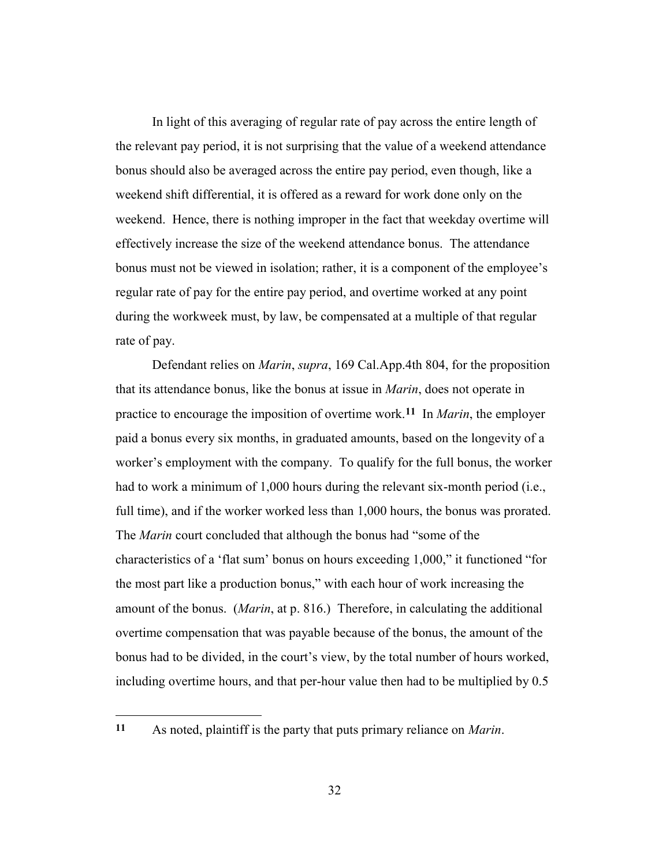In light of this averaging of regular rate of pay across the entire length of the relevant pay period, it is not surprising that the value of a weekend attendance bonus should also be averaged across the entire pay period, even though, like a weekend shift differential, it is offered as a reward for work done only on the weekend. Hence, there is nothing improper in the fact that weekday overtime will effectively increase the size of the weekend attendance bonus. The attendance bonus must not be viewed in isolation; rather, it is a component of the employee's regular rate of pay for the entire pay period, and overtime worked at any point during the workweek must, by law, be compensated at a multiple of that regular rate of pay.

Defendant relies on *Marin*, *supra*, 169 Cal.App.4th 804, for the proposition that its attendance bonus, like the bonus at issue in *Marin*, does not operate in practice to encourage the imposition of overtime work.**11** In *Marin*, the employer paid a bonus every six months, in graduated amounts, based on the longevity of a worker's employment with the company. To qualify for the full bonus, the worker had to work a minimum of 1,000 hours during the relevant six-month period (i.e., full time), and if the worker worked less than 1,000 hours, the bonus was prorated. The *Marin* court concluded that although the bonus had "some of the characteristics of a 'flat sum' bonus on hours exceeding 1,000," it functioned "for the most part like a production bonus," with each hour of work increasing the amount of the bonus. (*Marin*, at p. 816.) Therefore, in calculating the additional overtime compensation that was payable because of the bonus, the amount of the bonus had to be divided, in the court's view, by the total number of hours worked, including overtime hours, and that per-hour value then had to be multiplied by 0.5

**<sup>11</sup>** As noted, plaintiff is the party that puts primary reliance on *Marin*.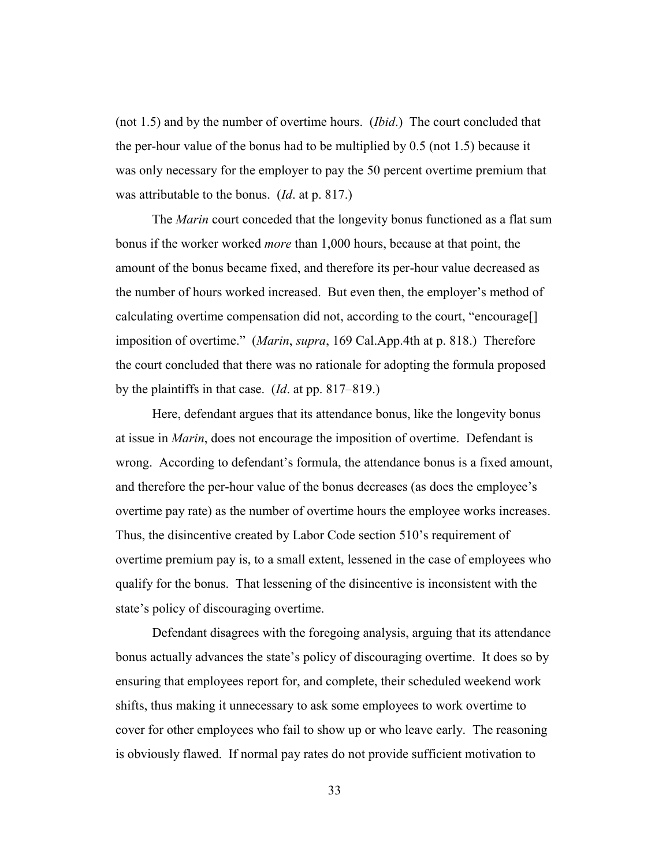(not 1.5) and by the number of overtime hours. (*Ibid*.) The court concluded that the per-hour value of the bonus had to be multiplied by 0.5 (not 1.5) because it was only necessary for the employer to pay the 50 percent overtime premium that was attributable to the bonus. (*Id*. at p. 817.)

The *Marin* court conceded that the longevity bonus functioned as a flat sum bonus if the worker worked *more* than 1,000 hours, because at that point, the amount of the bonus became fixed, and therefore its per-hour value decreased as the number of hours worked increased. But even then, the employer's method of calculating overtime compensation did not, according to the court, "encourage[] imposition of overtime." (*Marin*, *supra*, 169 Cal.App.4th at p. 818.) Therefore the court concluded that there was no rationale for adopting the formula proposed by the plaintiffs in that case. (*Id*. at pp. 817–819.)

Here, defendant argues that its attendance bonus, like the longevity bonus at issue in *Marin*, does not encourage the imposition of overtime. Defendant is wrong. According to defendant's formula, the attendance bonus is a fixed amount, and therefore the per-hour value of the bonus decreases (as does the employee's overtime pay rate) as the number of overtime hours the employee works increases. Thus, the disincentive created by Labor Code section 510's requirement of overtime premium pay is, to a small extent, lessened in the case of employees who qualify for the bonus. That lessening of the disincentive is inconsistent with the state's policy of discouraging overtime.

Defendant disagrees with the foregoing analysis, arguing that its attendance bonus actually advances the state's policy of discouraging overtime. It does so by ensuring that employees report for, and complete, their scheduled weekend work shifts, thus making it unnecessary to ask some employees to work overtime to cover for other employees who fail to show up or who leave early. The reasoning is obviously flawed. If normal pay rates do not provide sufficient motivation to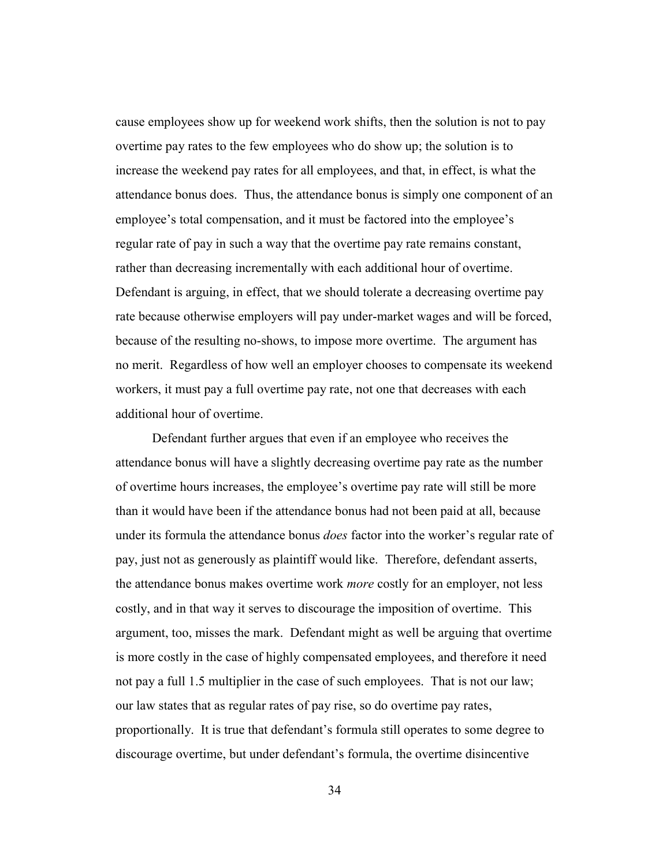cause employees show up for weekend work shifts, then the solution is not to pay overtime pay rates to the few employees who do show up; the solution is to increase the weekend pay rates for all employees, and that, in effect, is what the attendance bonus does. Thus, the attendance bonus is simply one component of an employee's total compensation, and it must be factored into the employee's regular rate of pay in such a way that the overtime pay rate remains constant, rather than decreasing incrementally with each additional hour of overtime. Defendant is arguing, in effect, that we should tolerate a decreasing overtime pay rate because otherwise employers will pay under-market wages and will be forced, because of the resulting no-shows, to impose more overtime. The argument has no merit. Regardless of how well an employer chooses to compensate its weekend workers, it must pay a full overtime pay rate, not one that decreases with each additional hour of overtime.

Defendant further argues that even if an employee who receives the attendance bonus will have a slightly decreasing overtime pay rate as the number of overtime hours increases, the employee's overtime pay rate will still be more than it would have been if the attendance bonus had not been paid at all, because under its formula the attendance bonus *does* factor into the worker's regular rate of pay, just not as generously as plaintiff would like. Therefore, defendant asserts, the attendance bonus makes overtime work *more* costly for an employer, not less costly, and in that way it serves to discourage the imposition of overtime. This argument, too, misses the mark. Defendant might as well be arguing that overtime is more costly in the case of highly compensated employees, and therefore it need not pay a full 1.5 multiplier in the case of such employees. That is not our law; our law states that as regular rates of pay rise, so do overtime pay rates, proportionally. It is true that defendant's formula still operates to some degree to discourage overtime, but under defendant's formula, the overtime disincentive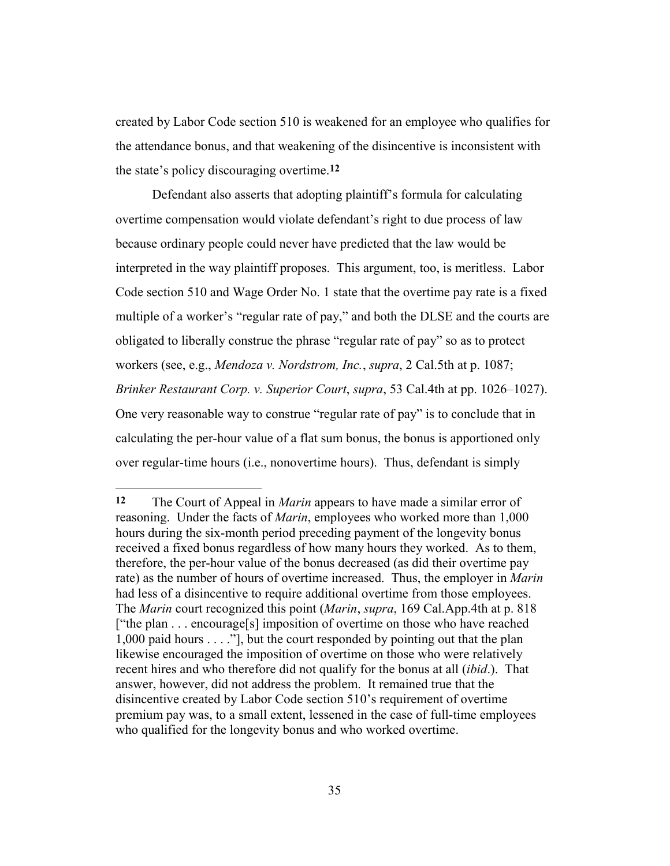created by Labor Code section 510 is weakened for an employee who qualifies for the attendance bonus, and that weakening of the disincentive is inconsistent with the state's policy discouraging overtime.**12**

Defendant also asserts that adopting plaintiff's formula for calculating overtime compensation would violate defendant's right to due process of law because ordinary people could never have predicted that the law would be interpreted in the way plaintiff proposes. This argument, too, is meritless. Labor Code section 510 and Wage Order No. 1 state that the overtime pay rate is a fixed multiple of a worker's "regular rate of pay," and both the DLSE and the courts are obligated to liberally construe the phrase "regular rate of pay" so as to protect workers (see, e.g., *Mendoza v. Nordstrom, Inc.*, *supra*, 2 Cal.5th at p. 1087; *Brinker Restaurant Corp. v. Superior Court*, *supra*, 53 Cal.4th at pp. 1026–1027). One very reasonable way to construe "regular rate of pay" is to conclude that in calculating the per-hour value of a flat sum bonus, the bonus is apportioned only over regular-time hours (i.e., nonovertime hours). Thus, defendant is simply

**<sup>12</sup>** The Court of Appeal in *Marin* appears to have made a similar error of reasoning. Under the facts of *Marin*, employees who worked more than 1,000 hours during the six-month period preceding payment of the longevity bonus received a fixed bonus regardless of how many hours they worked. As to them, therefore, the per-hour value of the bonus decreased (as did their overtime pay rate) as the number of hours of overtime increased. Thus, the employer in *Marin* had less of a disincentive to require additional overtime from those employees. The *Marin* court recognized this point (*Marin*, *supra*, 169 Cal.App.4th at p. 818 ["the plan . . . encourage[s] imposition of overtime on those who have reached 1,000 paid hours . . . ."], but the court responded by pointing out that the plan likewise encouraged the imposition of overtime on those who were relatively recent hires and who therefore did not qualify for the bonus at all (*ibid*.). That answer, however, did not address the problem. It remained true that the disincentive created by Labor Code section 510's requirement of overtime premium pay was, to a small extent, lessened in the case of full-time employees who qualified for the longevity bonus and who worked overtime.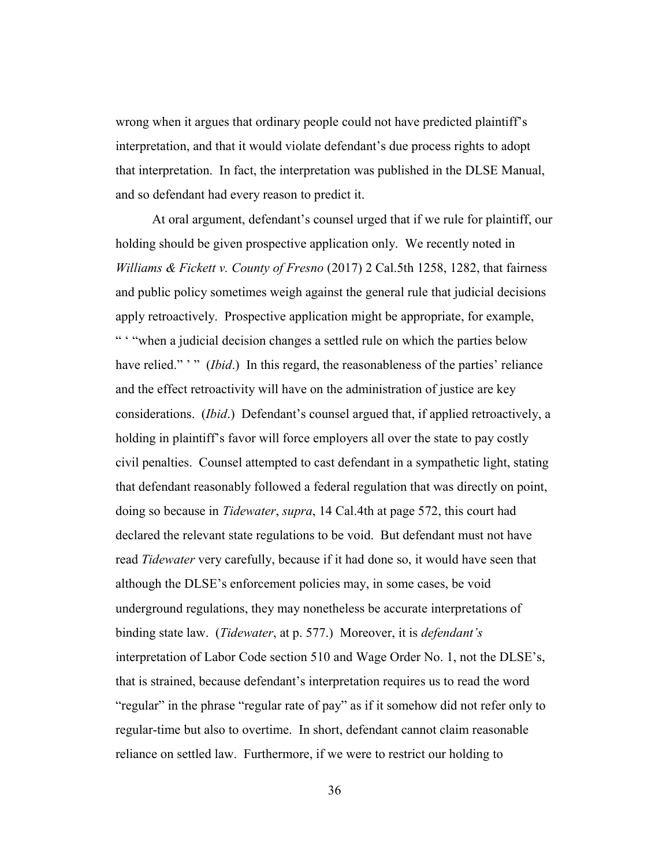wrong when it argues that ordinary people could not have predicted plaintiff's interpretation, and that it would violate defendant's due process rights to adopt that interpretation. In fact, the interpretation was published in the DLSE Manual, and so defendant had every reason to predict it.

At oral argument, defendant's counsel urged that if we rule for plaintiff, our holding should be given prospective application only. We recently noted in *Williams & Fickett v. County of Fresno* (2017) 2 Cal.5th 1258, 1282, that fairness and public policy sometimes weigh against the general rule that judicial decisions apply retroactively. Prospective application might be appropriate, for example, " "when a judicial decision changes a settled rule on which the parties below have relied." "" *(Ibid.)* In this regard, the reasonableness of the parties' reliance and the effect retroactivity will have on the administration of justice are key considerations. (*Ibid*.) Defendant's counsel argued that, if applied retroactively, a holding in plaintiff's favor will force employers all over the state to pay costly civil penalties. Counsel attempted to cast defendant in a sympathetic light, stating that defendant reasonably followed a federal regulation that was directly on point, doing so because in *Tidewater*, *supra*, 14 Cal.4th at page 572, this court had declared the relevant state regulations to be void. But defendant must not have read *Tidewater* very carefully, because if it had done so, it would have seen that although the DLSE's enforcement policies may, in some cases, be void underground regulations, they may nonetheless be accurate interpretations of binding state law. (*Tidewater*, at p. 577.) Moreover, it is *defendant's* interpretation of Labor Code section 510 and Wage Order No. 1, not the DLSE's, that is strained, because defendant's interpretation requires us to read the word "regular" in the phrase "regular rate of pay" as if it somehow did not refer only to regular-time but also to overtime. In short, defendant cannot claim reasonable reliance on settled law. Furthermore, if we were to restrict our holding to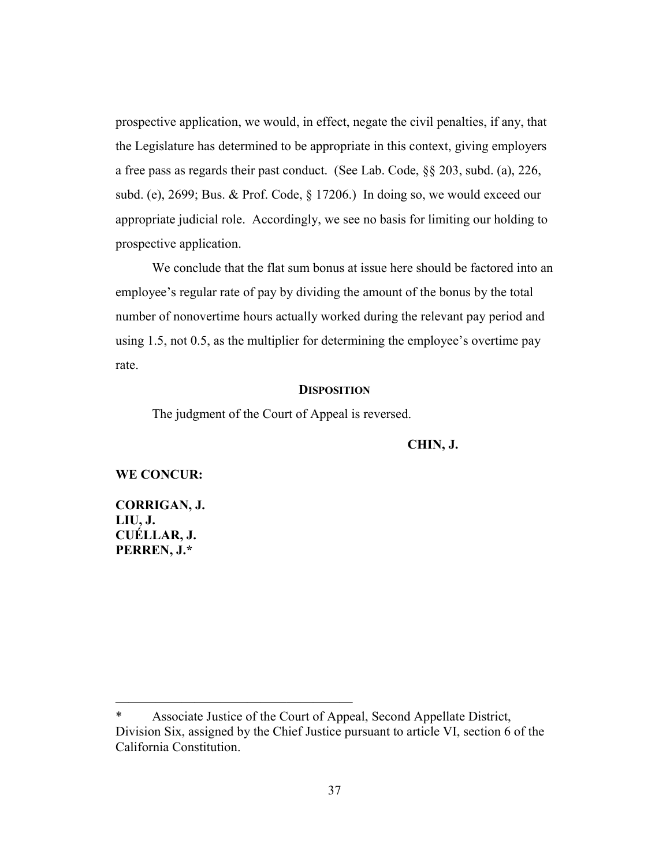prospective application, we would, in effect, negate the civil penalties, if any, that the Legislature has determined to be appropriate in this context, giving employers a free pass as regards their past conduct. (See Lab. Code, §§ 203, subd. (a), 226, subd. (e), 2699; Bus. & Prof. Code, § 17206.) In doing so, we would exceed our appropriate judicial role. Accordingly, we see no basis for limiting our holding to prospective application.

We conclude that the flat sum bonus at issue here should be factored into an employee's regular rate of pay by dividing the amount of the bonus by the total number of nonovertime hours actually worked during the relevant pay period and using 1.5, not 0.5, as the multiplier for determining the employee's overtime pay rate.

## **DISPOSITION**

The judgment of the Court of Appeal is reversed.

**CHIN, J.**

## **WE CONCUR:**

**CORRIGAN, J. LIU, J. CUÉLLAR, J. PERREN, J.\***

——————————————————

Associate Justice of the Court of Appeal, Second Appellate District, Division Six, assigned by the Chief Justice pursuant to article VI, section 6 of the California Constitution.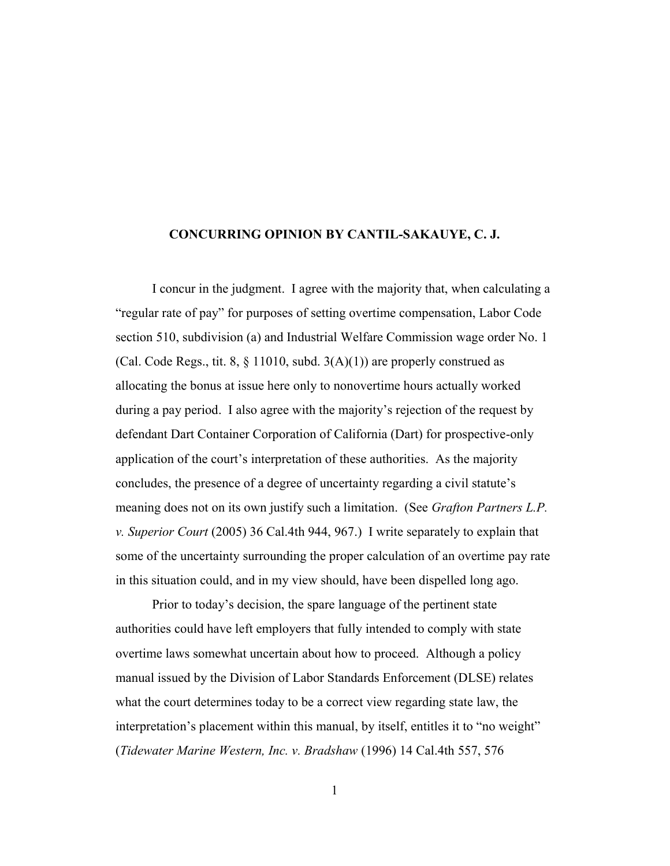# **CONCURRING OPINION BY CANTIL-SAKAUYE, C. J.**

I concur in the judgment. I agree with the majority that, when calculating a "regular rate of pay" for purposes of setting overtime compensation, Labor Code section 510, subdivision (a) and Industrial Welfare Commission wage order No. 1 (Cal. Code Regs., tit. 8,  $\S$  11010, subd.  $3(A)(1)$ ) are properly construed as allocating the bonus at issue here only to nonovertime hours actually worked during a pay period. I also agree with the majority's rejection of the request by defendant Dart Container Corporation of California (Dart) for prospective-only application of the court's interpretation of these authorities. As the majority concludes, the presence of a degree of uncertainty regarding a civil statute's meaning does not on its own justify such a limitation. (See *Grafton Partners L.P. v. Superior Court* (2005) 36 Cal.4th 944, 967.) I write separately to explain that some of the uncertainty surrounding the proper calculation of an overtime pay rate in this situation could, and in my view should, have been dispelled long ago.

Prior to today's decision, the spare language of the pertinent state authorities could have left employers that fully intended to comply with state overtime laws somewhat uncertain about how to proceed. Although a policy manual issued by the Division of Labor Standards Enforcement (DLSE) relates what the court determines today to be a correct view regarding state law, the interpretation's placement within this manual, by itself, entitles it to "no weight" (*Tidewater Marine Western, Inc. v. Bradshaw* (1996) 14 Cal.4th 557, 576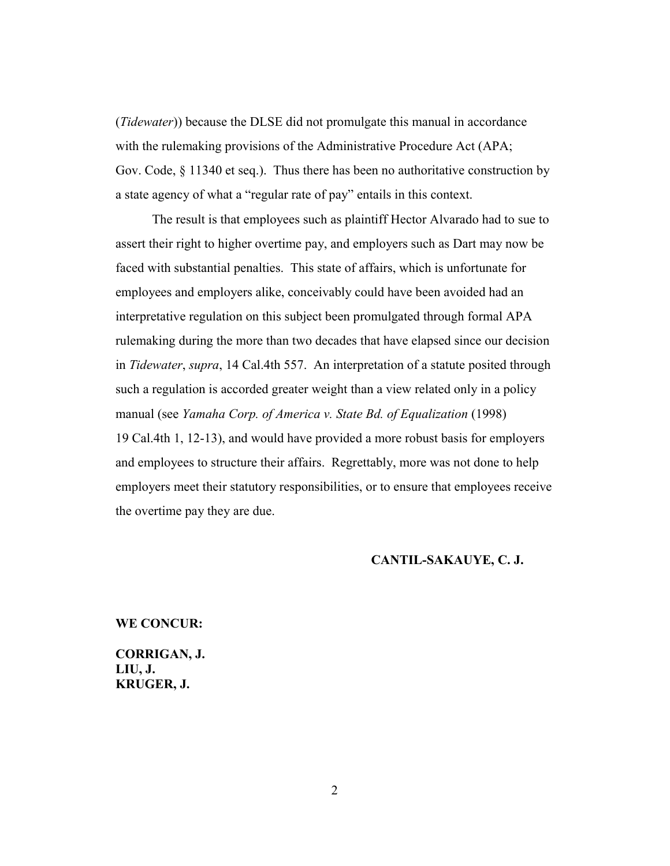(*Tidewater*)) because the DLSE did not promulgate this manual in accordance with the rulemaking provisions of the Administrative Procedure Act (APA; Gov. Code, § 11340 et seq.). Thus there has been no authoritative construction by a state agency of what a "regular rate of pay" entails in this context.

The result is that employees such as plaintiff Hector Alvarado had to sue to assert their right to higher overtime pay, and employers such as Dart may now be faced with substantial penalties. This state of affairs, which is unfortunate for employees and employers alike, conceivably could have been avoided had an interpretative regulation on this subject been promulgated through formal APA rulemaking during the more than two decades that have elapsed since our decision in *Tidewater*, *supra*, 14 Cal.4th 557. An interpretation of a statute posited through such a regulation is accorded greater weight than a view related only in a policy manual (see *Yamaha Corp. of America v. State Bd. of Equalization* (1998) 19 Cal.4th 1, 12-13), and would have provided a more robust basis for employers and employees to structure their affairs. Regrettably, more was not done to help employers meet their statutory responsibilities, or to ensure that employees receive the overtime pay they are due.

# **CANTIL-SAKAUYE, C. J.**

#### **WE CONCUR:**

**CORRIGAN, J. LIU, J. KRUGER, J.**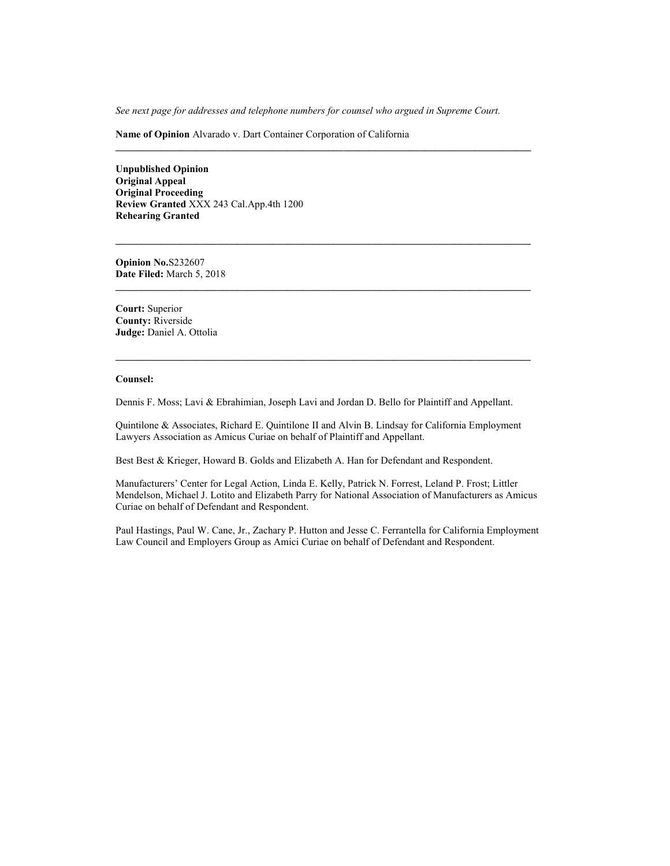*See next page for addresses and telephone numbers for counsel who argued in Supreme Court.*

**Name of Opinion** Alvarado v. Dart Container Corporation of California

**Unpublished Opinion Original Appeal Original Proceeding Review Granted** XXX 243 Cal.App.4th 1200 **Rehearing Granted**

**Opinion No.**S232607 **Date Filed:** March 5, 2018

**Court:** Superior **County:** Riverside **Judge:** Daniel A. Ottolia

#### **Counsel:**

Dennis F. Moss; Lavi & Ebrahimian, Joseph Lavi and Jordan D. Bello for Plaintiff and Appellant.

Quintilone & Associates, Richard E. Quintilone II and Alvin B. Lindsay for California Employment Lawyers Association as Amicus Curiae on behalf of Plaintiff and Appellant.

Best Best & Krieger, Howard B. Golds and Elizabeth A. Han for Defendant and Respondent.

Manufacturers' Center for Legal Action, Linda E. Kelly, Patrick N. Forrest, Leland P. Frost; Littler Mendelson, Michael J. Lotito and Elizabeth Parry for National Association of Manufacturers as Amicus Curiae on behalf of Defendant and Respondent.

Paul Hastings, Paul W. Cane, Jr., Zachary P. Hutton and Jesse C. Ferrantella for California Employment Law Council and Employers Group as Amici Curiae on behalf of Defendant and Respondent.